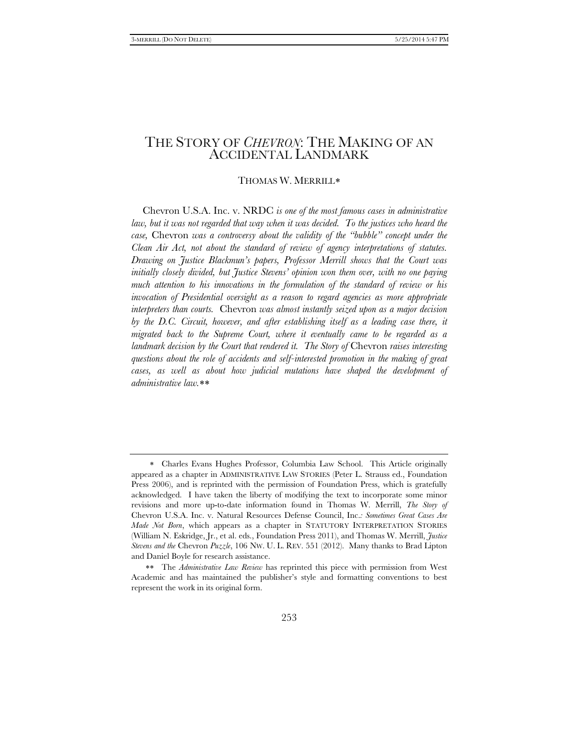# THE STORY OF *CHEVRON*: THE MAKING OF AN ACCIDENTAL LANDMARK

#### THOMAS W. MERRILL[∗](#page-0-0)

Chevron U.S.A. Inc. v. NRDC *is one of the most famous cases in administrative*  law, but it was not regarded that way when it was decided. To the justices who heard the *case,* Chevron *was a controversy about the validity of the "bubble" concept under the Clean Air Act, not about the standard of review of agency interpretations of statutes. Drawing on Justice Blackmun's papers, Professor Merrill shows that the Court was initially closely divided, but Justice Stevens' opinion won them over, with no one paying much attention to his innovations in the formulation of the standard of review or his invocation of Presidential oversight as a reason to regard agencies as more appropriate interpreters than courts.* Chevron *was almost instantly seized upon as a major decision by the D.C. Circuit, however, and after establishing itself as a leading case there, it migrated back to the Supreme Court, where it eventually came to be regarded as a landmark decision by the Court that rendered it. The Story of* Chevron *raises interesting questions about the role of accidents and self-interested promotion in the making of great cases, as well as about how judicial mutations have shaped the development of administrative law.*∗∗

<span id="page-0-0"></span><sup>∗</sup> Charles Evans Hughes Professor, Columbia Law School. This Article originally appeared as a chapter in ADMINISTRATIVE LAW STORIES (Peter L. Strauss ed., Foundation Press 2006), and is reprinted with the permission of Foundation Press, which is gratefully acknowledged. I have taken the liberty of modifying the text to incorporate some minor revisions and more up-to-date information found in Thomas W. Merrill, *The Story of* Chevron U.S.A. Inc. v. Natural Resources Defense Council, Inc.*: Sometimes Great Cases Are Made Not Born*, which appears as a chapter in STATUTORY INTERPRETATION STORIES (William N. Eskridge, Jr., et al. eds., Foundation Press 2011), and Thomas W. Merrill, *Justice Stevens and the* Chevron *Puzzle*, 106 NW. U. L. REV. 551 (2012). Many thanks to Brad Lipton and Daniel Boyle for research assistance.

<sup>∗∗</sup> The *Administrative Law Review* has reprinted this piece with permission from West Academic and has maintained the publisher's style and formatting conventions to best represent the work in its original form.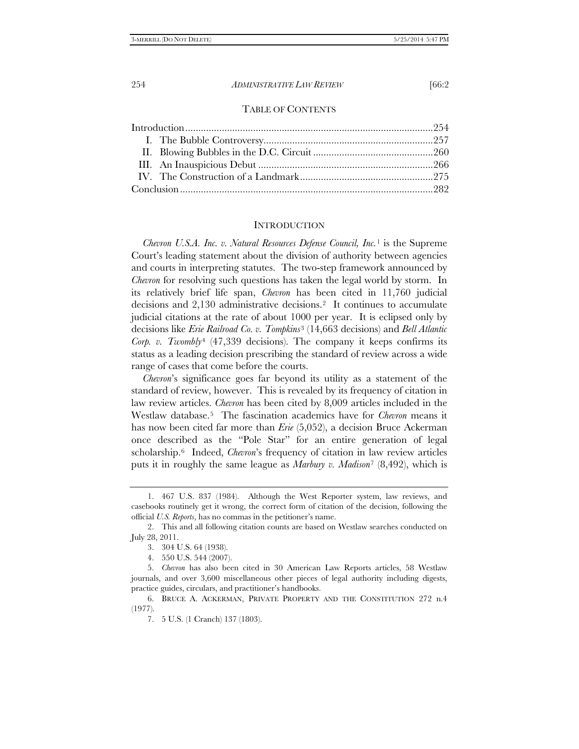## TABLE OF CONTENTS

#### **INTRODUCTION**

*Chevron U.S.A. Inc. v. Natural Resources Defense Council, Inc.*[1](#page-1-0) is the Supreme Court's leading statement about the division of authority between agencies and courts in interpreting statutes. The two-step framework announced by *Chevron* for resolving such questions has taken the legal world by storm. In its relatively brief life span, *Chevron* has been cited in 11,760 judicial decisions and 2,130 administrative decisions.[2](#page-1-1) It continues to accumulate judicial citations at the rate of about 1000 per year. It is eclipsed only by decisions like *Erie Railroad Co. v. Tompkins*[3](#page-1-2) (14,663 decisions) and *Bell Atlantic Corp. v. Twombly*[4](#page-1-3) (47,339 decisions). The company it keeps confirms its status as a leading decision prescribing the standard of review across a wide range of cases that come before the courts.

*Chevron*'s significance goes far beyond its utility as a statement of the standard of review, however. This is revealed by its frequency of citation in law review articles. *Chevron* has been cited by 8,009 articles included in the Westlaw database.[5](#page-1-4) The fascination academics have for *Chevron* means it has now been cited far more than *Erie* (5,052), a decision Bruce Ackerman once described as the "Pole Star" for an entire generation of legal scholarship.[6](#page-1-5) Indeed, *Chevron*'s frequency of citation in law review articles puts it in roughly the same league as *Marbury v. Madison*[7](#page-1-6) (8,492), which is

<span id="page-1-0"></span><sup>1.</sup> 467 U.S. 837 (1984). Although the West Reporter system, law reviews, and casebooks routinely get it wrong, the correct form of citation of the decision, following the official *U.S. Reports*, has no commas in the petitioner's name.

<span id="page-1-2"></span><span id="page-1-1"></span><sup>2.</sup> This and all following citation counts are based on Westlaw searches conducted on July 28, 2011.

<sup>3.</sup> 304 U.S. 64 (1938).

<sup>4.</sup> 550 U.S. 544 (2007).

<span id="page-1-4"></span><span id="page-1-3"></span><sup>5.</sup> *Chevron* has also been cited in 30 American Law Reports articles, 58 Westlaw journals, and over 3,600 miscellaneous other pieces of legal authority including digests, practice guides, circulars, and practitioner's handbooks.

<span id="page-1-6"></span><span id="page-1-5"></span><sup>6.</sup> BRUCE A. ACKERMAN, PRIVATE PROPERTY AND THE CONSTITUTION 272 n.4 (1977).

<sup>7.</sup> 5 U.S. (1 Cranch) 137 (1803).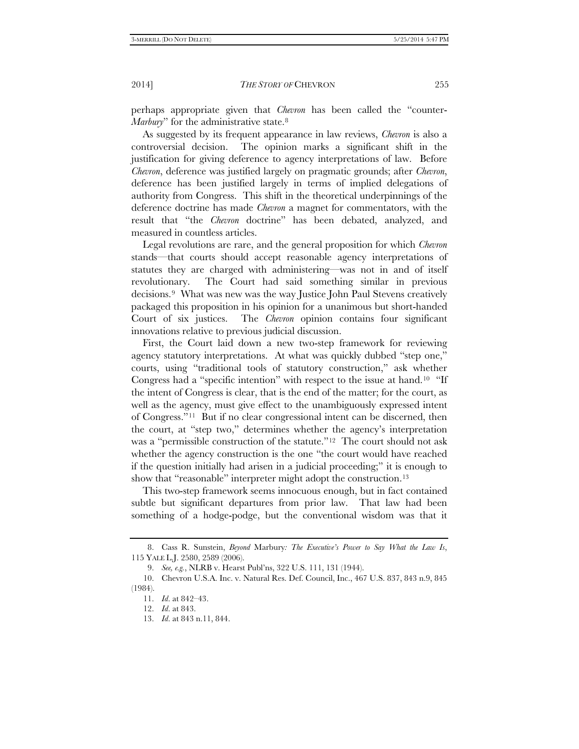perhaps appropriate given that *Chevron* has been called the "counter-*Marbury*" for the administrative state.<sup>[8](#page-2-0)</sup>

As suggested by its frequent appearance in law reviews, *Chevron* is also a controversial decision. The opinion marks a significant shift in the justification for giving deference to agency interpretations of law. Before *Chevron*, deference was justified largely on pragmatic grounds; after *Chevron*, deference has been justified largely in terms of implied delegations of authority from Congress. This shift in the theoretical underpinnings of the deference doctrine has made *Chevron* a magnet for commentators, with the result that "the *Chevron* doctrine" has been debated, analyzed, and measured in countless articles.

Legal revolutions are rare, and the general proposition for which *Chevron* stands—that courts should accept reasonable agency interpretations of statutes they are charged with administering—was not in and of itself revolutionary. The Court had said something similar in previous decisions.[9](#page-2-1) What was new was the way Justice John Paul Stevens creatively packaged this proposition in his opinion for a unanimous but short-handed Court of six justices. The *Chevron* opinion contains four significant innovations relative to previous judicial discussion.

First, the Court laid down a new two-step framework for reviewing agency statutory interpretations. At what was quickly dubbed "step one," courts, using "traditional tools of statutory construction," ask whether Congress had a "specific intention" with respect to the issue at hand[.10](#page-2-2) "If the intent of Congress is clear, that is the end of the matter; for the court, as well as the agency, must give effect to the unambiguously expressed intent of Congress."[11](#page-2-3) But if no clear congressional intent can be discerned, then the court, at "step two," determines whether the agency's interpretation was a "permissible construction of the statute."<sup>12</sup> The court should not ask whether the agency construction is the one "the court would have reached if the question initially had arisen in a judicial proceeding;" it is enough to show that "reasonable" interpreter might adopt the construction.<sup>[13](#page-2-5)</sup>

This two-step framework seems innocuous enough, but in fact contained subtle but significant departures from prior law. That law had been something of a hodge-podge, but the conventional wisdom was that it

<span id="page-2-0"></span><sup>8.</sup> Cass R. Sunstein, *Beyond* Marbury*: The Executive's Power to Say What the Law Is*, 115 YALE L.J. 2580, 2589 (2006).

<sup>9.</sup> *See, e.g.*, NLRB v. Hearst Publ'ns, 322 U.S. 111, 131 (1944).

<span id="page-2-5"></span><span id="page-2-4"></span><span id="page-2-3"></span><span id="page-2-2"></span><span id="page-2-1"></span><sup>10.</sup> Chevron U.S.A. Inc. v. Natural Res. Def. Council, Inc., 467 U.S. 837, 843 n.9, 845 (1984).

<sup>11.</sup> *Id*. at 842–43.

<sup>12.</sup> *Id*. at 843.

<sup>13.</sup> *Id*. at 843 n.11, 844.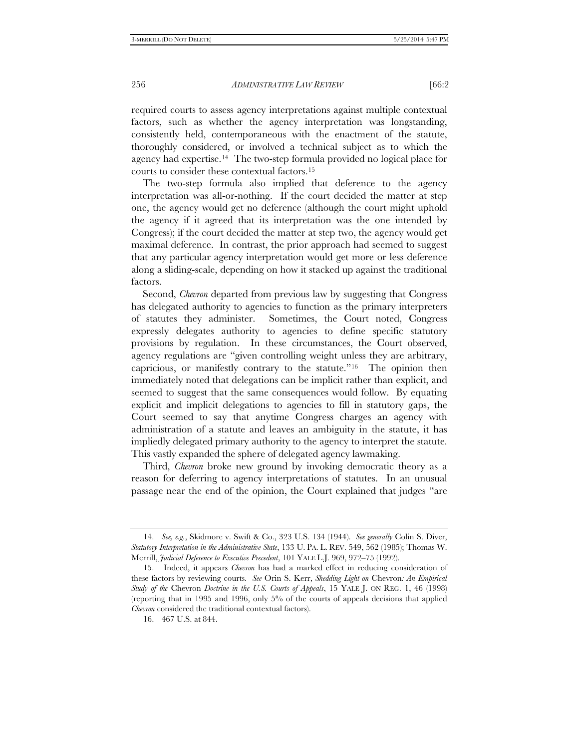required courts to assess agency interpretations against multiple contextual factors, such as whether the agency interpretation was longstanding, consistently held, contemporaneous with the enactment of the statute, thoroughly considered, or involved a technical subject as to which the agency had expertise.[14](#page-3-0) The two-step formula provided no logical place for courts to consider these contextual factors.[15](#page-3-1)

The two-step formula also implied that deference to the agency interpretation was all-or-nothing. If the court decided the matter at step one, the agency would get no deference (although the court might uphold the agency if it agreed that its interpretation was the one intended by Congress); if the court decided the matter at step two, the agency would get maximal deference. In contrast, the prior approach had seemed to suggest that any particular agency interpretation would get more or less deference along a sliding-scale, depending on how it stacked up against the traditional factors.

Second, *Chevron* departed from previous law by suggesting that Congress has delegated authority to agencies to function as the primary interpreters of statutes they administer. Sometimes, the Court noted, Congress expressly delegates authority to agencies to define specific statutory provisions by regulation. In these circumstances, the Court observed, agency regulations are "given controlling weight unless they are arbitrary, capricious, or manifestly contrary to the statute."[16](#page-3-2) The opinion then immediately noted that delegations can be implicit rather than explicit, and seemed to suggest that the same consequences would follow. By equating explicit and implicit delegations to agencies to fill in statutory gaps, the Court seemed to say that anytime Congress charges an agency with administration of a statute and leaves an ambiguity in the statute, it has impliedly delegated primary authority to the agency to interpret the statute. This vastly expanded the sphere of delegated agency lawmaking.

Third, *Chevron* broke new ground by invoking democratic theory as a reason for deferring to agency interpretations of statutes. In an unusual passage near the end of the opinion, the Court explained that judges "are

<span id="page-3-0"></span><sup>14.</sup> *See, e.g.*, Skidmore v. Swift & Co., 323 U.S. 134 (1944). *See generally* Colin S. Diver, *Statutory Interpretation in the Administrative State*, 133 U. PA. L. REV. 549, 562 (1985); Thomas W. Merrill, *Judicial Deference to Executive Precedent*, 101 YALE L.J. 969, 972–75 (1992).

<span id="page-3-2"></span><span id="page-3-1"></span><sup>15.</sup> Indeed, it appears *Chevron* has had a marked effect in reducing consideration of these factors by reviewing courts. *See* Orin S. Kerr, *Shedding Light on* Chevron*: An Empirical Study of the* Chevron *Doctrine in the U.S. Courts of Appeals*, 15 YALE J. ON REG. 1, 46 (1998) (reporting that in 1995 and 1996, only 5% of the courts of appeals decisions that applied *Chevron* considered the traditional contextual factors).

<sup>16.</sup> 467 U.S. at 844.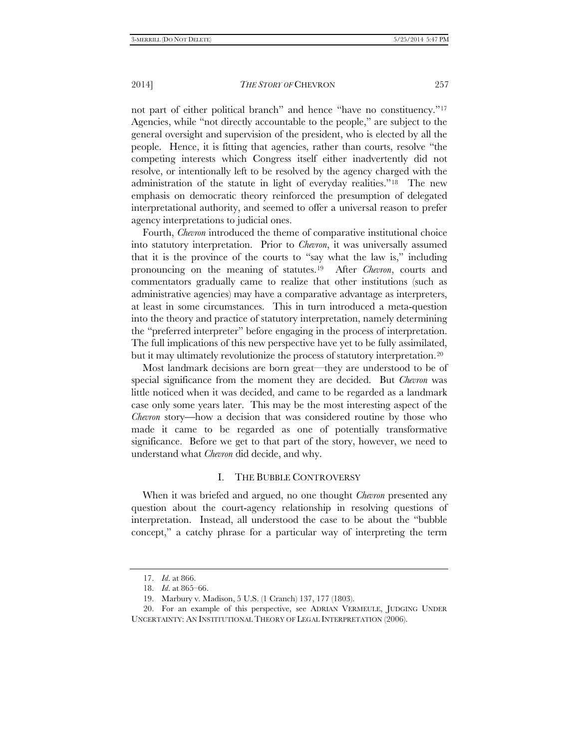not part of either political branch" and hence "have no constituency."[17](#page-4-0)  Agencies, while "not directly accountable to the people," are subject to the general oversight and supervision of the president, who is elected by all the people. Hence, it is fitting that agencies, rather than courts, resolve "the competing interests which Congress itself either inadvertently did not resolve, or intentionally left to be resolved by the agency charged with the administration of the statute in light of everyday realities."[18](#page-4-1) The new emphasis on democratic theory reinforced the presumption of delegated interpretational authority, and seemed to offer a universal reason to prefer agency interpretations to judicial ones.

Fourth, *Chevron* introduced the theme of comparative institutional choice into statutory interpretation. Prior to *Chevron*, it was universally assumed that it is the province of the courts to "say what the law is," including pronouncing on the meaning of statutes.[19](#page-4-2) After *Chevron*, courts and commentators gradually came to realize that other institutions (such as administrative agencies) may have a comparative advantage as interpreters, at least in some circumstances. This in turn introduced a meta-question into the theory and practice of statutory interpretation, namely determining the "preferred interpreter" before engaging in the process of interpretation. The full implications of this new perspective have yet to be fully assimilated, but it may ultimately revolutionize the process of statutory interpretation.<sup>[20](#page-4-3)</sup>

Most landmark decisions are born great—they are understood to be of special significance from the moment they are decided. But *Chevron* was little noticed when it was decided, and came to be regarded as a landmark case only some years later. This may be the most interesting aspect of the *Chevron* story—how a decision that was considered routine by those who made it came to be regarded as one of potentially transformative significance. Before we get to that part of the story, however, we need to understand what *Chevron* did decide, and why.

## I. THE BUBBLE CONTROVERSY

When it was briefed and argued, no one thought *Chevron* presented any question about the court-agency relationship in resolving questions of interpretation. Instead, all understood the case to be about the "bubble concept," a catchy phrase for a particular way of interpreting the term

<sup>17.</sup> *Id*. at 866.

<sup>18.</sup> *Id*. at 865–66.

<sup>19.</sup> Marbury v. Madison, 5 U.S. (1 Cranch) 137, 177 (1803).

<span id="page-4-3"></span><span id="page-4-2"></span><span id="page-4-1"></span><span id="page-4-0"></span><sup>20.</sup> For an example of this perspective, see ADRIAN VERMEULE, JUDGING UNDER UNCERTAINTY: AN INSTITUTIONAL THEORY OF LEGAL INTERPRETATION (2006).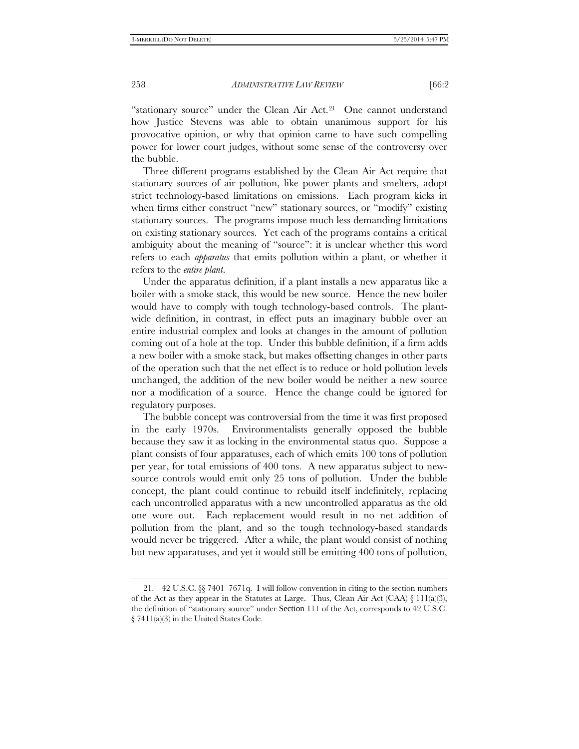"stationary source" under the Clean Air Act.[21](#page-5-0) One cannot understand how Justice Stevens was able to obtain unanimous support for his provocative opinion, or why that opinion came to have such compelling power for lower court judges, without some sense of the controversy over the bubble.

Three different programs established by the Clean Air Act require that stationary sources of air pollution, like power plants and smelters, adopt strict technology-based limitations on emissions. Each program kicks in when firms either construct "new" stationary sources, or "modify" existing stationary sources. The programs impose much less demanding limitations on existing stationary sources. Yet each of the programs contains a critical ambiguity about the meaning of "source": it is unclear whether this word refers to each *apparatus* that emits pollution within a plant, or whether it refers to the *entire plant*.

Under the apparatus definition, if a plant installs a new apparatus like a boiler with a smoke stack, this would be new source. Hence the new boiler would have to comply with tough technology-based controls. The plantwide definition, in contrast, in effect puts an imaginary bubble over an entire industrial complex and looks at changes in the amount of pollution coming out of a hole at the top. Under this bubble definition, if a firm adds a new boiler with a smoke stack, but makes offsetting changes in other parts of the operation such that the net effect is to reduce or hold pollution levels unchanged, the addition of the new boiler would be neither a new source nor a modification of a source. Hence the change could be ignored for regulatory purposes.

The bubble concept was controversial from the time it was first proposed in the early 1970s. Environmentalists generally opposed the bubble because they saw it as locking in the environmental status quo. Suppose a plant consists of four apparatuses, each of which emits 100 tons of pollution per year, for total emissions of 400 tons. A new apparatus subject to newsource controls would emit only 25 tons of pollution. Under the bubble concept, the plant could continue to rebuild itself indefinitely, replacing each uncontrolled apparatus with a new uncontrolled apparatus as the old one wore out. Each replacement would result in no net addition of pollution from the plant, and so the tough technology-based standards would never be triggered. After a while, the plant would consist of nothing but new apparatuses, and yet it would still be emitting 400 tons of pollution,

<span id="page-5-0"></span><sup>21.</sup> 42 U.S.C. §§ 7401–7671q. I will follow convention in citing to the section numbers of the Act as they appear in the Statutes at Large. Thus, Clean Air Act (CAA)  $\S 111(a)(3)$ , the definition of "stationary source" under Section 111 of the Act, corresponds to 42 U.S.C. § 7411(a)(3) in the United States Code.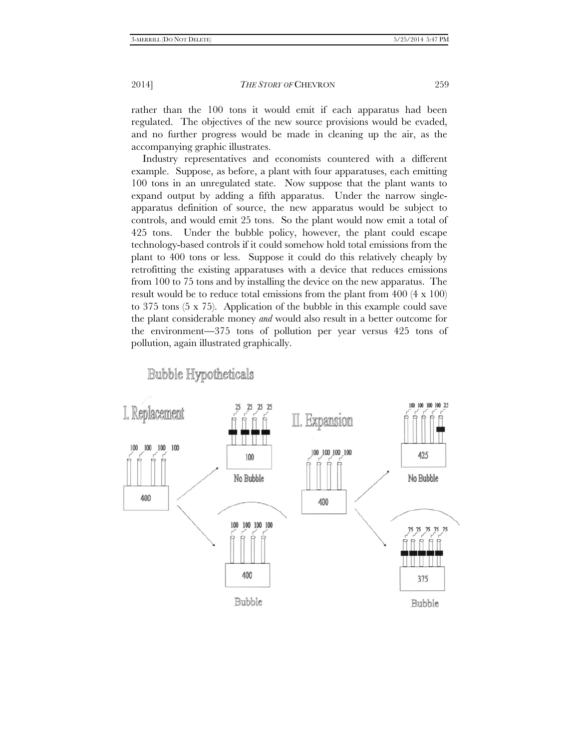rather than the 100 tons it would emit if each apparatus had been regulated. The objectives of the new source provisions would be evaded, and no further progress would be made in cleaning up the air, as the accompanying graphic illustrates.

Industry representatives and economists countered with a different example. Suppose, as before, a plant with four apparatuses, each emitting 100 tons in an unregulated state. Now suppose that the plant wants to expand output by adding a fifth apparatus. Under the narrow singleapparatus definition of source, the new apparatus would be subject to controls, and would emit 25 tons. So the plant would now emit a total of 425 tons. Under the bubble policy, however, the plant could escape technology-based controls if it could somehow hold total emissions from the plant to 400 tons or less. Suppose it could do this relatively cheaply by retrofitting the existing apparatuses with a device that reduces emissions from 100 to 75 tons and by installing the device on the new apparatus. The result would be to reduce total emissions from the plant from 400 (4 x 100) to 375 tons (5 x 75). Application of the bubble in this example could save the plant considerable money *and* would also result in a better outcome for the environment—375 tons of pollution per year versus 425 tons of pollution, again illustrated graphically.



**Bubble Hypotheticals**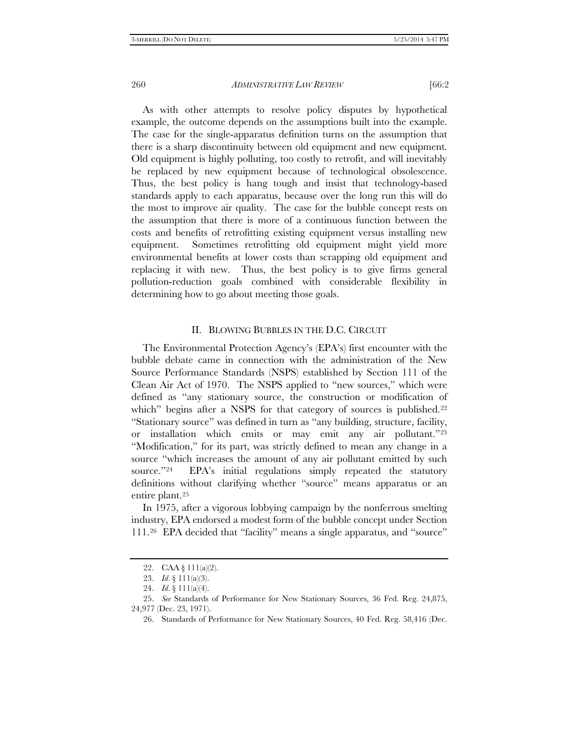As with other attempts to resolve policy disputes by hypothetical example, the outcome depends on the assumptions built into the example. The case for the single-apparatus definition turns on the assumption that there is a sharp discontinuity between old equipment and new equipment. Old equipment is highly polluting, too costly to retrofit, and will inevitably be replaced by new equipment because of technological obsolescence. Thus, the best policy is hang tough and insist that technology-based standards apply to each apparatus, because over the long run this will do the most to improve air quality. The case for the bubble concept rests on the assumption that there is more of a continuous function between the costs and benefits of retrofitting existing equipment versus installing new equipment. Sometimes retrofitting old equipment might yield more environmental benefits at lower costs than scrapping old equipment and replacing it with new. Thus, the best policy is to give firms general pollution-reduction goals combined with considerable flexibility in determining how to go about meeting those goals.

### II. BLOWING BUBBLES IN THE D.C. CIRCUIT

The Environmental Protection Agency's (EPA's) first encounter with the bubble debate came in connection with the administration of the New Source Performance Standards (NSPS) established by Section 111 of the Clean Air Act of 1970. The NSPS applied to "new sources," which were defined as "any stationary source, the construction or modification of which" begins after a NSPS for that category of sources is published.<sup>22</sup> "Stationary source" was defined in turn as "any building, structure, facility, or installation which emits or may emit any air pollutant."[23](#page-7-1)  "Modification," for its part, was strictly defined to mean any change in a source "which increases the amount of any air pollutant emitted by such source."[24](#page-7-2) EPA's initial regulations simply repeated the statutory definitions without clarifying whether "source" means apparatus or an entire plant.[25](#page-7-3)

In 1975, after a vigorous lobbying campaign by the nonferrous smelting industry, EPA endorsed a modest form of the bubble concept under Section 111.[26](#page-7-4) EPA decided that "facility" means a single apparatus, and "source"

<sup>22.</sup> CAA § 111(a)(2).

<sup>23.</sup> *Id*. § 111(a)(3).

<sup>24.</sup> *Id*. § 111(a)(4).

<span id="page-7-4"></span><span id="page-7-3"></span><span id="page-7-2"></span><span id="page-7-1"></span><span id="page-7-0"></span><sup>25.</sup> *See* Standards of Performance for New Stationary Sources, 36 Fed. Reg. 24,875, 24,977 (Dec. 23, 1971).

<sup>26.</sup> Standards of Performance for New Stationary Sources, 40 Fed. Reg. 58,416 (Dec.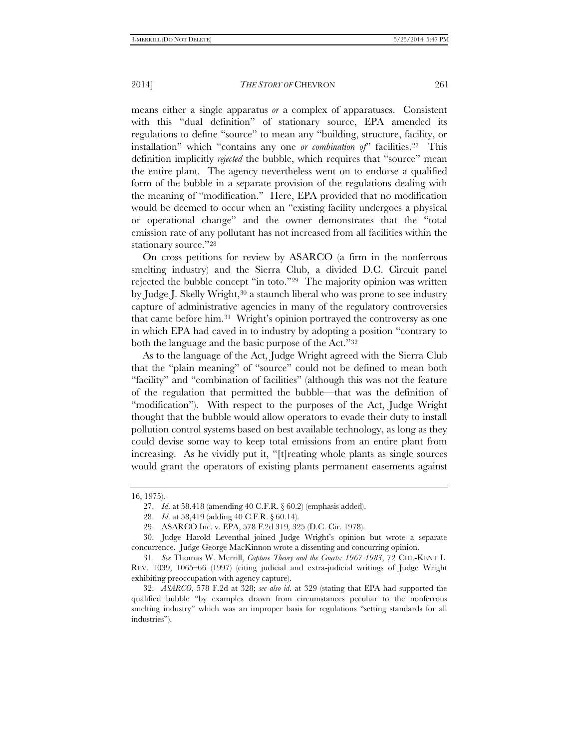means either a single apparatus *or* a complex of apparatuses. Consistent with this "dual definition" of stationary source, EPA amended its regulations to define "source" to mean any "building, structure, facility, or installation" which "contains any one *or combination of*" facilities.[27](#page-8-0) This definition implicitly *rejected* the bubble, which requires that "source" mean the entire plant. The agency nevertheless went on to endorse a qualified form of the bubble in a separate provision of the regulations dealing with the meaning of "modification." Here, EPA provided that no modification would be deemed to occur when an "existing facility undergoes a physical or operational change" and the owner demonstrates that the "total emission rate of any pollutant has not increased from all facilities within the stationary source."[28](#page-8-1)

On cross petitions for review by ASARCO (a firm in the nonferrous smelting industry) and the Sierra Club, a divided D.C. Circuit panel rejected the bubble concept "in toto."[29](#page-8-2) The majority opinion was written by Judge J. Skelly Wright,<sup>[30](#page-8-3)</sup> a staunch liberal who was prone to see industry capture of administrative agencies in many of the regulatory controversies that came before him.[31](#page-8-4) Wright's opinion portrayed the controversy as one in which EPA had caved in to industry by adopting a position "contrary to both the language and the basic purpose of the Act."[32](#page-8-5)

As to the language of the Act, Judge Wright agreed with the Sierra Club that the "plain meaning" of "source" could not be defined to mean both "facility" and "combination of facilities" (although this was not the feature of the regulation that permitted the bubble—that was the definition of "modification"). With respect to the purposes of the Act, Judge Wright thought that the bubble would allow operators to evade their duty to install pollution control systems based on best available technology, as long as they could devise some way to keep total emissions from an entire plant from increasing. As he vividly put it, "[t]reating whole plants as single sources would grant the operators of existing plants permanent easements against

<span id="page-8-1"></span><span id="page-8-0"></span><sup>16, 1975).</sup>

<sup>27.</sup> *Id*. at 58,418 (amending 40 C.F.R. § 60.2) (emphasis added).

<sup>28.</sup> *Id*. at 58,419 (adding 40 C.F.R. § 60.14).

<sup>29.</sup> ASARCO Inc. v. EPA, 578 F.2d 319*,* 325 (D.C. Cir. 1978).

<span id="page-8-3"></span><span id="page-8-2"></span><sup>30.</sup> Judge Harold Leventhal joined Judge Wright's opinion but wrote a separate concurrence. Judge George MacKinnon wrote a dissenting and concurring opinion.

<span id="page-8-4"></span><sup>31.</sup> *See* Thomas W. Merrill, *Capture Theory and the Courts: 1967-1983*, 72 CHI.-KENT L. REV. 1039, 1065–66 (1997) (citing judicial and extra-judicial writings of Judge Wright exhibiting preoccupation with agency capture).

<span id="page-8-5"></span><sup>32.</sup> *ASARCO*, 578 F.2d at 328; *see also id*. at 329 (stating that EPA had supported the qualified bubble "by examples drawn from circumstances peculiar to the nonferrous smelting industry" which was an improper basis for regulations "setting standards for all industries").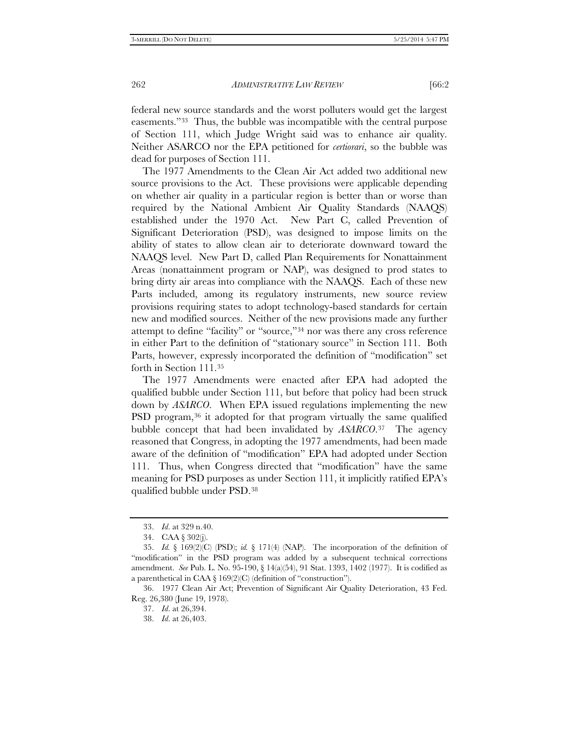federal new source standards and the worst polluters would get the largest easements."[33](#page-9-0) Thus, the bubble was incompatible with the central purpose of Section 111, which Judge Wright said was to enhance air quality. Neither ASARCO nor the EPA petitioned for *certiorari*, so the bubble was dead for purposes of Section 111.

The 1977 Amendments to the Clean Air Act added two additional new source provisions to the Act. These provisions were applicable depending on whether air quality in a particular region is better than or worse than required by the National Ambient Air Quality Standards (NAAQS) established under the 1970 Act. New Part C, called Prevention of Significant Deterioration (PSD), was designed to impose limits on the ability of states to allow clean air to deteriorate downward toward the NAAQS level. New Part D, called Plan Requirements for Nonattainment Areas (nonattainment program or NAP), was designed to prod states to bring dirty air areas into compliance with the NAAQS. Each of these new Parts included, among its regulatory instruments, new source review provisions requiring states to adopt technology-based standards for certain new and modified sources. Neither of the new provisions made any further attempt to define "facility" or "source,"[34](#page-9-1) nor was there any cross reference in either Part to the definition of "stationary source" in Section 111. Both Parts, however, expressly incorporated the definition of "modification" set forth in Section 111.[35](#page-9-2)

The 1977 Amendments were enacted after EPA had adopted the qualified bubble under Section 111, but before that policy had been struck down by *ASARCO*. When EPA issued regulations implementing the new PSD program,<sup>[36](#page-9-3)</sup> it adopted for that program virtually the same qualified bubble concept that had been invalidated by *ASARCO*.[37](#page-9-4) The agency reasoned that Congress, in adopting the 1977 amendments, had been made aware of the definition of "modification" EPA had adopted under Section 111. Thus, when Congress directed that "modification" have the same meaning for PSD purposes as under Section 111, it implicitly ratified EPA's qualified bubble under PSD.[38](#page-9-5)

<sup>33.</sup> *Id*. at 329 n.40.

<sup>34.</sup> CAA § 302(j).

<span id="page-9-2"></span><span id="page-9-1"></span><span id="page-9-0"></span><sup>35.</sup> *Id.* § 169(2)(C) (PSD); *id.* § 171(4) (NAP). The incorporation of the definition of "modification" in the PSD program was added by a subsequent technical corrections amendment. *See* Pub. L. No. 95-190, § 14(a)(54), 91 Stat. 1393, 1402 (1977). It is codified as a parenthetical in CAA  $\S$  169(2)(C) (definition of "construction").

<span id="page-9-5"></span><span id="page-9-4"></span><span id="page-9-3"></span><sup>36.</sup> 1977 Clean Air Act; Prevention of Significant Air Quality Deterioration, 43 Fed. Reg. 26,380 (June 19, 1978).

<sup>37.</sup> *Id*. at 26,394.

<sup>38.</sup> *Id*. at 26,403.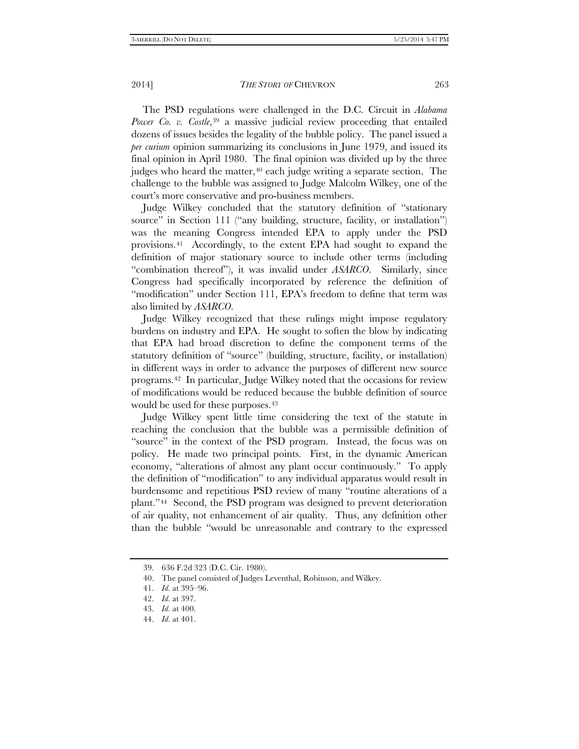The PSD regulations were challenged in the D.C. Circuit in *Alabama Power Co. v. Costle*,<sup>[39](#page-10-0)</sup> a massive judicial review proceeding that entailed dozens of issues besides the legality of the bubble policy. The panel issued a *per curium* opinion summarizing its conclusions in June 1979, and issued its final opinion in April 1980. The final opinion was divided up by the three judges who heard the matter,<sup>[40](#page-10-1)</sup> each judge writing a separate section. The challenge to the bubble was assigned to Judge Malcolm Wilkey, one of the court's more conservative and pro-business members.

Judge Wilkey concluded that the statutory definition of "stationary source" in Section 111 ("any building, structure, facility, or installation") was the meaning Congress intended EPA to apply under the PSD provisions.[41](#page-10-2) Accordingly, to the extent EPA had sought to expand the definition of major stationary source to include other terms (including "combination thereof"), it was invalid under *ASARCO*. Similarly, since Congress had specifically incorporated by reference the definition of "modification" under Section 111, EPA's freedom to define that term was also limited by *ASARCO*.

Judge Wilkey recognized that these rulings might impose regulatory burdens on industry and EPA. He sought to soften the blow by indicating that EPA had broad discretion to define the component terms of the statutory definition of "source" (building, structure, facility, or installation) in different ways in order to advance the purposes of different new source programs.[42](#page-10-3) In particular, Judge Wilkey noted that the occasions for review of modifications would be reduced because the bubble definition of source would be used for these purposes.[43](#page-10-4)

Judge Wilkey spent little time considering the text of the statute in reaching the conclusion that the bubble was a permissible definition of "source" in the context of the PSD program. Instead, the focus was on policy. He made two principal points. First, in the dynamic American economy, "alterations of almost any plant occur continuously." To apply the definition of "modification" to any individual apparatus would result in burdensome and repetitious PSD review of many "routine alterations of a plant."[44](#page-10-5) Second, the PSD program was designed to prevent deterioration of air quality, not enhancement of air quality. Thus, any definition other than the bubble "would be unreasonable and contrary to the expressed

<sup>39.</sup> 636 F.2d 323 (D.C. Cir. 1980).

<span id="page-10-2"></span><span id="page-10-1"></span><span id="page-10-0"></span><sup>40.</sup> The panel consisted of Judges Leventhal, Robinson, and Wilkey.

<sup>41.</sup> *Id*. at 395–96.

<span id="page-10-3"></span><sup>42.</sup> *Id*. at 397.

<span id="page-10-5"></span><span id="page-10-4"></span><sup>43.</sup> *Id*. at 400.

<sup>44.</sup> *Id*. at 401.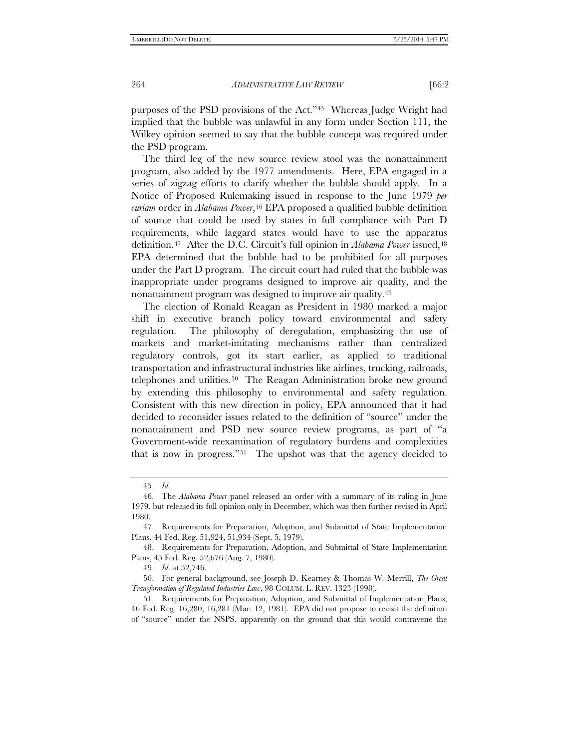purposes of the PSD provisions of the Act."[45](#page-11-0) Whereas Judge Wright had implied that the bubble was unlawful in any form under Section 111, the Wilkey opinion seemed to say that the bubble concept was required under the PSD program.

The third leg of the new source review stool was the nonattainment program, also added by the 1977 amendments. Here, EPA engaged in a series of zigzag efforts to clarify whether the bubble should apply. In a Notice of Proposed Rulemaking issued in response to the June 1979 *per curiam* order in *Alabama Power*,<sup>46</sup> EPA proposed a qualified bubble definition of source that could be used by states in full compliance with Part D requirements, while laggard states would have to use the apparatus definition.<sup>[47](#page-11-2)</sup> After the D.C. Circuit's full opinion in *Alabama Power* issued,<sup>[48](#page-11-3)</sup> EPA determined that the bubble had to be prohibited for all purposes under the Part D program. The circuit court had ruled that the bubble was inappropriate under programs designed to improve air quality, and the nonattainment program was designed to improve air quality.[49](#page-11-4)

The election of Ronald Reagan as President in 1980 marked a major shift in executive branch policy toward environmental and safety regulation. The philosophy of deregulation, emphasizing the use of markets and market-imitating mechanisms rather than centralized regulatory controls, got its start earlier, as applied to traditional transportation and infrastructural industries like airlines, trucking, railroads, telephones and utilities.[50](#page-11-5) The Reagan Administration broke new ground by extending this philosophy to environmental and safety regulation. Consistent with this new direction in policy, EPA announced that it had decided to reconsider issues related to the definition of "source" under the nonattainment and PSD new source review programs, as part of "a Government-wide reexamination of regulatory burdens and complexities that is now in progress."[51](#page-11-6) The upshot was that the agency decided to

<sup>45.</sup> *Id*.

<span id="page-11-1"></span><span id="page-11-0"></span><sup>46.</sup> The *Alabama Power* panel released an order with a summary of its ruling in June 1979, but released its full opinion only in December, which was then further revised in April 1980.

<span id="page-11-2"></span><sup>47.</sup> Requirements for Preparation, Adoption, and Submittal of State Implementation Plans, 44 Fed. Reg. 51,924, 51,934 (Sept. 5, 1979).

<span id="page-11-3"></span><sup>48.</sup> Requirements for Preparation, Adoption, and Submittal of State Implementation Plans, 45 Fed. Reg. 52,676 (Aug. 7, 1980).

<sup>49.</sup> *Id*. at 52,746.

<span id="page-11-5"></span><span id="page-11-4"></span><sup>50.</sup> For general background, see Joseph D. Kearney & Thomas W. Merrill, *The Great Transformation of Regulated Industries Law*, 98 COLUM. L. REV. 1323 (1998).

<span id="page-11-6"></span><sup>51.</sup> Requirements for Preparation, Adoption, and Submittal of Implementation Plans, 46 Fed. Reg. 16,280, 16,281 (Mar. 12, 1981). EPA did not propose to revisit the definition of "source" under the NSPS, apparently on the ground that this would contravene the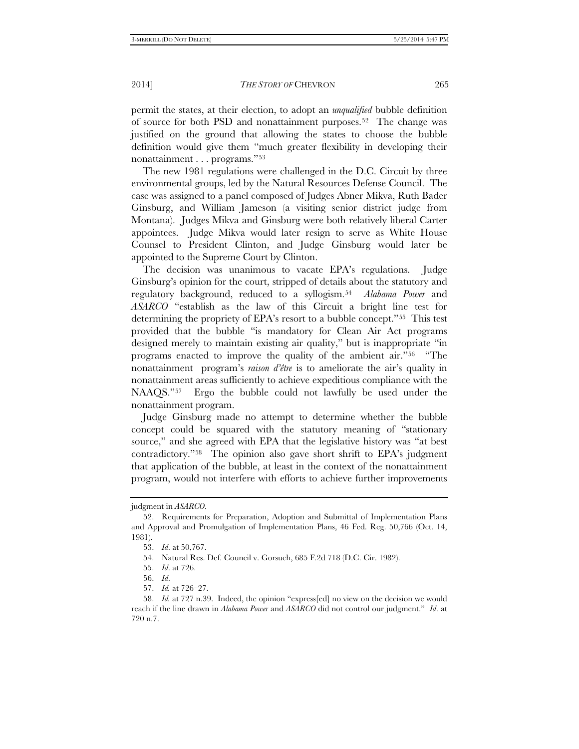permit the states, at their election, to adopt an *unqualified* bubble definition of source for both PSD and nonattainment purposes.[52](#page-12-0) The change was justified on the ground that allowing the states to choose the bubble definition would give them "much greater flexibility in developing their nonattainment . . . programs."[53](#page-12-1)

The new 1981 regulations were challenged in the D.C. Circuit by three environmental groups, led by the Natural Resources Defense Council. The case was assigned to a panel composed of Judges Abner Mikva, Ruth Bader Ginsburg, and William Jameson (a visiting senior district judge from Montana). Judges Mikva and Ginsburg were both relatively liberal Carter appointees. Judge Mikva would later resign to serve as White House Counsel to President Clinton, and Judge Ginsburg would later be appointed to the Supreme Court by Clinton.

The decision was unanimous to vacate EPA's regulations. Judge Ginsburg's opinion for the court, stripped of details about the statutory and regulatory background, reduced to a syllogism.[54](#page-12-2) *Alabama Power* and *ASARCO* "establish as the law of this Circuit a bright line test for determining the propriety of EPA's resort to a bubble concept."[55](#page-12-3) This test provided that the bubble "is mandatory for Clean Air Act programs designed merely to maintain existing air quality," but is inappropriate "in programs enacted to improve the quality of the ambient air."[56](#page-12-4) "The nonattainment program's *raison d'être* is to ameliorate the air's quality in nonattainment areas sufficiently to achieve expeditious compliance with the NAAQS.["57](#page-12-5) Ergo the bubble could not lawfully be used under the nonattainment program.

Judge Ginsburg made no attempt to determine whether the bubble concept could be squared with the statutory meaning of "stationary source," and she agreed with EPA that the legislative history was "at best contradictory."[58](#page-12-6) The opinion also gave short shrift to EPA's judgment that application of the bubble, at least in the context of the nonattainment program, would not interfere with efforts to achieve further improvements

<span id="page-12-0"></span>judgment in *ASARCO*.

<span id="page-12-2"></span><span id="page-12-1"></span><sup>52.</sup> Requirements for Preparation, Adoption and Submittal of Implementation Plans and Approval and Promulgation of Implementation Plans, 46 Fed. Reg. 50,766 (Oct. 14, 1981).

<sup>53.</sup> *Id*. at 50,767.

<sup>54.</sup> Natural Res. Def. Council v. Gorsuch, 685 F.2d 718 (D.C. Cir. 1982).

<sup>55.</sup> *Id*. at 726.

<sup>56.</sup> *Id*.

<sup>57.</sup> *Id.* at 726–27.

<span id="page-12-6"></span><span id="page-12-5"></span><span id="page-12-4"></span><span id="page-12-3"></span><sup>58.</sup> *Id.* at 727 n.39. Indeed, the opinion "express[ed] no view on the decision we would reach if the line drawn in *Alabama Power* and *ASARCO* did not control our judgment." *Id*. at 720 n.7.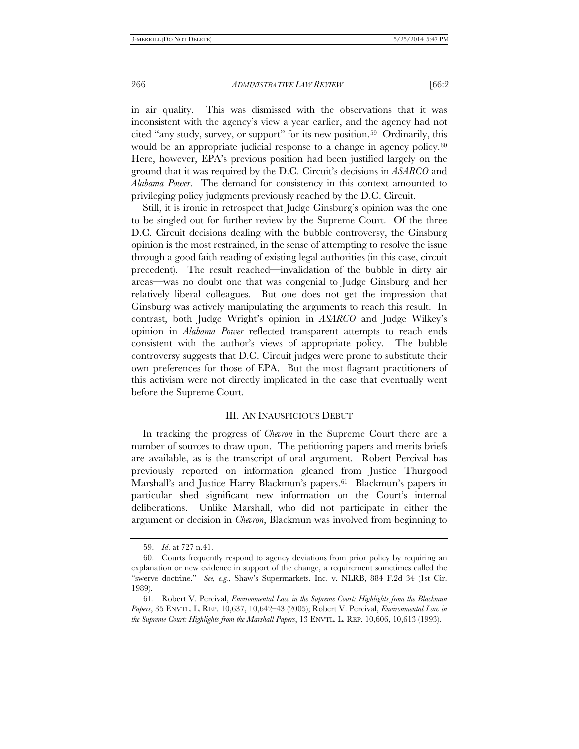59. *Id*. at 727 n.41.

1989).

266 *ADMINISTRATIVE LAW REVIEW* [66:2

in air quality. This was dismissed with the observations that it was inconsistent with the agency's view a year earlier, and the agency had not cited "any study, survey, or support" for its new position.<sup>59</sup> Ordinarily, this would be an appropriate judicial response to a change in agency policy.<sup>60</sup> Here, however, EPA's previous position had been justified largely on the ground that it was required by the D.C. Circuit's decisions in *ASARCO* and *Alabama Power*. The demand for consistency in this context amounted to privileging policy judgments previously reached by the D.C. Circuit.

Still, it is ironic in retrospect that Judge Ginsburg's opinion was the one to be singled out for further review by the Supreme Court. Of the three D.C. Circuit decisions dealing with the bubble controversy, the Ginsburg opinion is the most restrained, in the sense of attempting to resolve the issue through a good faith reading of existing legal authorities (in this case, circuit precedent). The result reached—invalidation of the bubble in dirty air areas—was no doubt one that was congenial to Judge Ginsburg and her relatively liberal colleagues. But one does not get the impression that Ginsburg was actively manipulating the arguments to reach this result. In contrast, both Judge Wright's opinion in *ASARCO* and Judge Wilkey's opinion in *Alabama Power* reflected transparent attempts to reach ends consistent with the author's views of appropriate policy. The bubble controversy suggests that D.C. Circuit judges were prone to substitute their own preferences for those of EPA. But the most flagrant practitioners of this activism were not directly implicated in the case that eventually went before the Supreme Court.

III. AN INAUSPICIOUS DEBUT In tracking the progress of *Chevron* in the Supreme Court there are a number of sources to draw upon. The petitioning papers and merits briefs are available, as is the transcript of oral argument. Robert Percival has previously reported on information gleaned from Justice Thurgood Marshall's and Justice Harry Blackmun's papers.<sup>61</sup> Blackmun's papers in particular shed significant new information on the Court's internal deliberations. Unlike Marshall, who did not participate in either the argument or decision in *Chevron*, Blackmun was involved from beginning to

<span id="page-13-1"></span><span id="page-13-0"></span>60. Courts frequently respond to agency deviations from prior policy by requiring an explanation or new evidence in support of the change, a requirement sometimes called the "swerve doctrine." *See, e.g.*, Shaw's Supermarkets, Inc. v. NLRB, 884 F.2d 34 (1st Cir.

<span id="page-13-2"></span>61. Robert V. Percival, *Environmental Law in the Supreme Court: Highlights from the Blackmun Papers*, 35 ENVTL. L. REP. 10,637, 10,642–43 (2005); Robert V. Percival, *Environmental Law in the Supreme Court: Highlights from the Marshall Papers*, 13 ENVTL. L. REP. 10,606, 10,613 (1993).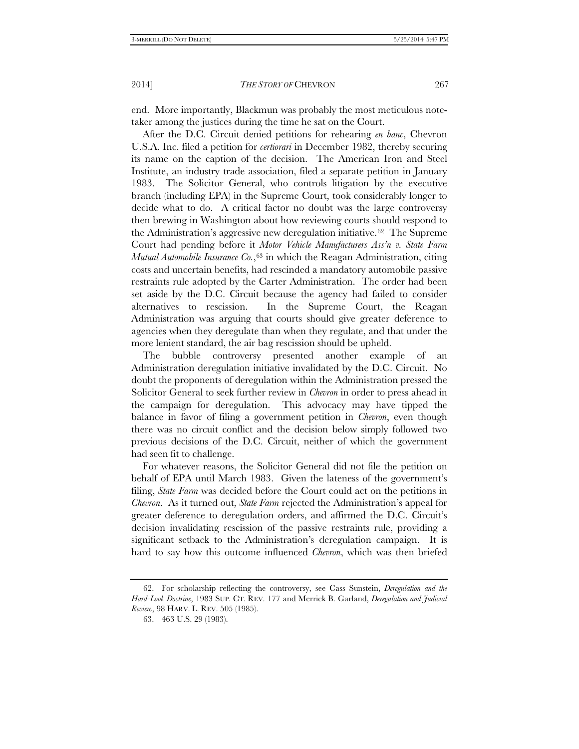end. More importantly, Blackmun was probably the most meticulous notetaker among the justices during the time he sat on the Court.

After the D.C. Circuit denied petitions for rehearing *en banc*, Chevron U.S.A. Inc. filed a petition for *certiorari* in December 1982, thereby securing its name on the caption of the decision. The American Iron and Steel Institute, an industry trade association, filed a separate petition in January 1983. The Solicitor General, who controls litigation by the executive branch (including EPA) in the Supreme Court, took considerably longer to decide what to do. A critical factor no doubt was the large controversy then brewing in Washington about how reviewing courts should respond to the Administration's aggressive new deregulation initiative.[62](#page-14-0) The Supreme Court had pending before it *Motor Vehicle Manufacturers Ass'n v. State Farm Mutual Automobile Insurance Co.*, <sup>[63](#page-14-1)</sup> in which the Reagan Administration, citing costs and uncertain benefits, had rescinded a mandatory automobile passive restraints rule adopted by the Carter Administration. The order had been set aside by the D.C. Circuit because the agency had failed to consider alternatives to rescission. In the Supreme Court, the Reagan Administration was arguing that courts should give greater deference to agencies when they deregulate than when they regulate, and that under the more lenient standard, the air bag rescission should be upheld.

The bubble controversy presented another example of an Administration deregulation initiative invalidated by the D.C. Circuit. No doubt the proponents of deregulation within the Administration pressed the Solicitor General to seek further review in *Chevron* in order to press ahead in the campaign for deregulation. This advocacy may have tipped the balance in favor of filing a government petition in *Chevron*, even though there was no circuit conflict and the decision below simply followed two previous decisions of the D.C. Circuit, neither of which the government had seen fit to challenge.

For whatever reasons, the Solicitor General did not file the petition on behalf of EPA until March 1983. Given the lateness of the government's filing, *State Farm* was decided before the Court could act on the petitions in *Chevron*. As it turned out, *State Farm* rejected the Administration's appeal for greater deference to deregulation orders, and affirmed the D.C. Circuit's decision invalidating rescission of the passive restraints rule, providing a significant setback to the Administration's deregulation campaign. It is hard to say how this outcome influenced *Chevron*, which was then briefed

<span id="page-14-1"></span><span id="page-14-0"></span><sup>62.</sup> For scholarship reflecting the controversy, see Cass Sunstein, *Deregulation and the Hard-Look Doctrine*, 1983 SUP. CT. REV. 177 and Merrick B. Garland, *Deregulation and Judicial Review*, 98 HARV. L. REV. 505 (1985).

<sup>63.</sup> 463 U.S. 29 (1983).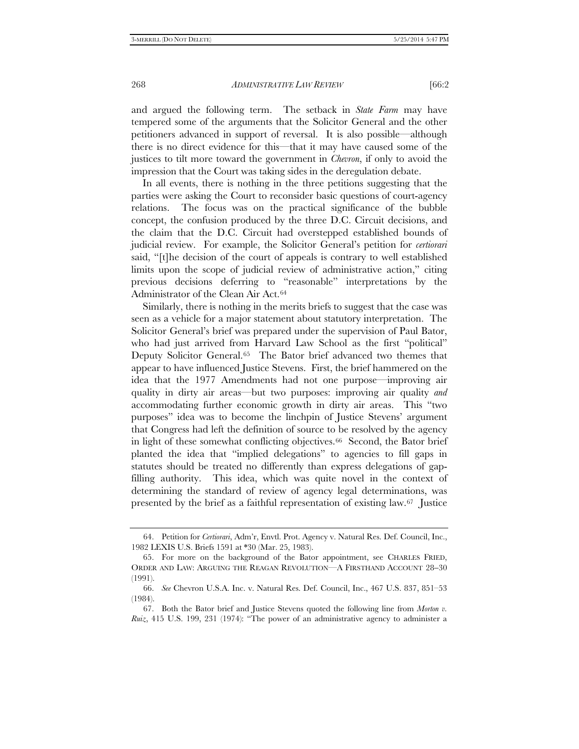and argued the following term. The setback in *State Farm* may have tempered some of the arguments that the Solicitor General and the other petitioners advanced in support of reversal. It is also possible—although there is no direct evidence for this—that it may have caused some of the justices to tilt more toward the government in *Chevron*, if only to avoid the impression that the Court was taking sides in the deregulation debate.

In all events, there is nothing in the three petitions suggesting that the parties were asking the Court to reconsider basic questions of court-agency relations. The focus was on the practical significance of the bubble concept, the confusion produced by the three D.C. Circuit decisions, and the claim that the D.C. Circuit had overstepped established bounds of judicial review. For example, the Solicitor General's petition for *certiorari* said, "[t]he decision of the court of appeals is contrary to well established limits upon the scope of judicial review of administrative action," citing previous decisions deferring to "reasonable" interpretations by the Administrator of the Clean Air Act.[64](#page-15-0)

Similarly, there is nothing in the merits briefs to suggest that the case was seen as a vehicle for a major statement about statutory interpretation. The Solicitor General's brief was prepared under the supervision of Paul Bator, who had just arrived from Harvard Law School as the first "political" Deputy Solicitor General.[65](#page-15-1) The Bator brief advanced two themes that appear to have influenced Justice Stevens. First, the brief hammered on the idea that the 1977 Amendments had not one purpose—improving air quality in dirty air areas—but two purposes: improving air quality *and* accommodating further economic growth in dirty air areas. This "two purposes" idea was to become the linchpin of Justice Stevens' argument that Congress had left the definition of source to be resolved by the agency in light of these somewhat conflicting objectives.<sup>66</sup> Second, the Bator brief planted the idea that "implied delegations" to agencies to fill gaps in statutes should be treated no differently than express delegations of gapfilling authority. This idea, which was quite novel in the context of determining the standard of review of agency legal determinations, was presented by the brief as a faithful representation of existing law.[67](#page-15-3) Justice

<span id="page-15-0"></span><sup>64.</sup> Petition for *Certiorari*, Adm'r, Envtl. Prot. Agency v. Natural Res. Def. Council, Inc., 1982 LEXIS U.S. Briefs 1591 at \*30 (Mar. 25, 1983).

<span id="page-15-1"></span><sup>65.</sup> For more on the background of the Bator appointment, see CHARLES FRIED, ORDER AND LAW: ARGUING THE REAGAN REVOLUTION—A FIRSTHAND ACCOUNT 28–30 (1991).

<span id="page-15-2"></span><sup>66.</sup> *See* Chevron U.S.A. Inc. v. Natural Res. Def. Council, Inc., 467 U.S. 837, 851–53 (1984).

<span id="page-15-3"></span><sup>67.</sup> Both the Bator brief and Justice Stevens quoted the following line from *Morton v. Ruiz*, 415 U.S. 199, 231 (1974): "The power of an administrative agency to administer a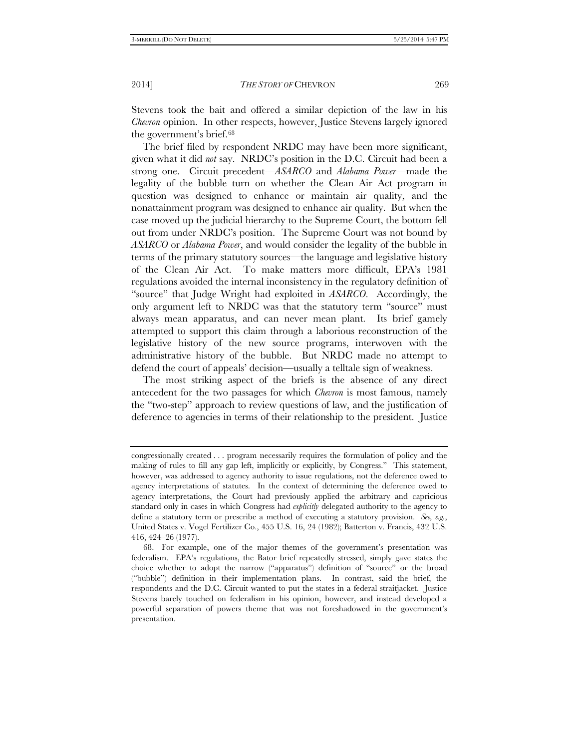Stevens took the bait and offered a similar depiction of the law in his *Chevron* opinion. In other respects, however, Justice Stevens largely ignored the government's brief.[68](#page-16-0)

The brief filed by respondent NRDC may have been more significant, given what it did *not* say. NRDC's position in the D.C. Circuit had been a strong one. Circuit precedent—*ASARCO* and *Alabama Power*—made the legality of the bubble turn on whether the Clean Air Act program in question was designed to enhance or maintain air quality, and the nonattainment program was designed to enhance air quality. But when the case moved up the judicial hierarchy to the Supreme Court, the bottom fell out from under NRDC's position. The Supreme Court was not bound by *ASARCO* or *Alabama Power*, and would consider the legality of the bubble in terms of the primary statutory sources—the language and legislative history of the Clean Air Act. To make matters more difficult, EPA's 1981 regulations avoided the internal inconsistency in the regulatory definition of "source" that Judge Wright had exploited in *ASARCO*. Accordingly, the only argument left to NRDC was that the statutory term "source" must always mean apparatus, and can never mean plant. Its brief gamely attempted to support this claim through a laborious reconstruction of the legislative history of the new source programs, interwoven with the administrative history of the bubble. But NRDC made no attempt to defend the court of appeals' decision—usually a telltale sign of weakness.

The most striking aspect of the briefs is the absence of any direct antecedent for the two passages for which *Chevron* is most famous, namely the "two-step" approach to review questions of law, and the justification of deference to agencies in terms of their relationship to the president. Justice

congressionally created . . . program necessarily requires the formulation of policy and the making of rules to fill any gap left, implicitly or explicitly, by Congress." This statement, however, was addressed to agency authority to issue regulations, not the deference owed to agency interpretations of statutes. In the context of determining the deference owed to agency interpretations, the Court had previously applied the arbitrary and capricious standard only in cases in which Congress had *explicitly* delegated authority to the agency to define a statutory term or prescribe a method of executing a statutory provision. *See, e.g.*, United States v. Vogel Fertilizer Co., 455 U.S. 16, 24 (1982); Batterton v. Francis, 432 U.S. 416, 424–26 (1977).

<span id="page-16-0"></span><sup>68.</sup> For example, one of the major themes of the government's presentation was federalism. EPA's regulations, the Bator brief repeatedly stressed, simply gave states the choice whether to adopt the narrow ("apparatus") definition of "source" or the broad ("bubble") definition in their implementation plans. In contrast, said the brief, the respondents and the D.C. Circuit wanted to put the states in a federal straitjacket. Justice Stevens barely touched on federalism in his opinion, however, and instead developed a powerful separation of powers theme that was not foreshadowed in the government's presentation.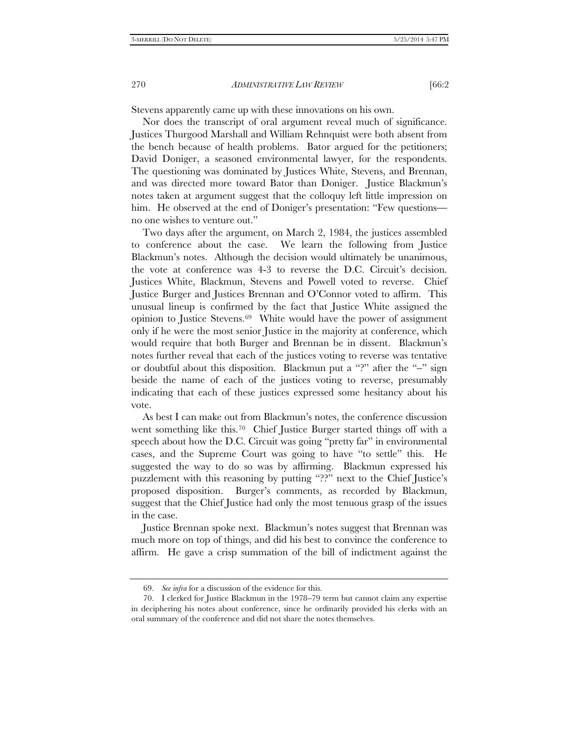Stevens apparently came up with these innovations on his own.

Nor does the transcript of oral argument reveal much of significance. Justices Thurgood Marshall and William Rehnquist were both absent from the bench because of health problems. Bator argued for the petitioners; David Doniger, a seasoned environmental lawyer, for the respondents. The questioning was dominated by Justices White, Stevens, and Brennan, and was directed more toward Bator than Doniger. Justice Blackmun's notes taken at argument suggest that the colloquy left little impression on him. He observed at the end of Doniger's presentation: "Few questionsno one wishes to venture out."

Two days after the argument, on March 2, 1984, the justices assembled to conference about the case. We learn the following from Justice Blackmun's notes. Although the decision would ultimately be unanimous, the vote at conference was 4-3 to reverse the D.C. Circuit's decision. Justices White, Blackmun, Stevens and Powell voted to reverse. Chief Justice Burger and Justices Brennan and O'Connor voted to affirm. This unusual lineup is confirmed by the fact that Justice White assigned the opinion to Justice Stevens.[69](#page-17-0) White would have the power of assignment only if he were the most senior Justice in the majority at conference, which would require that both Burger and Brennan be in dissent. Blackmun's notes further reveal that each of the justices voting to reverse was tentative or doubtful about this disposition. Blackmun put a "?" after the "–" sign beside the name of each of the justices voting to reverse, presumably indicating that each of these justices expressed some hesitancy about his vote.

As best I can make out from Blackmun's notes, the conference discussion went something like this.[70](#page-17-1) Chief Justice Burger started things off with a speech about how the D.C. Circuit was going "pretty far" in environmental cases, and the Supreme Court was going to have "to settle" this. He suggested the way to do so was by affirming. Blackmun expressed his puzzlement with this reasoning by putting "??" next to the Chief Justice's proposed disposition. Burger's comments, as recorded by Blackmun, suggest that the Chief Justice had only the most tenuous grasp of the issues in the case.

Justice Brennan spoke next. Blackmun's notes suggest that Brennan was much more on top of things, and did his best to convince the conference to affirm. He gave a crisp summation of the bill of indictment against the

<sup>69.</sup> *See infra* for a discussion of the evidence for this.

<span id="page-17-1"></span><span id="page-17-0"></span><sup>70.</sup> I clerked for Justice Blackmun in the 1978–79 term but cannot claim any expertise in deciphering his notes about conference, since he ordinarily provided his clerks with an oral summary of the conference and did not share the notes themselves.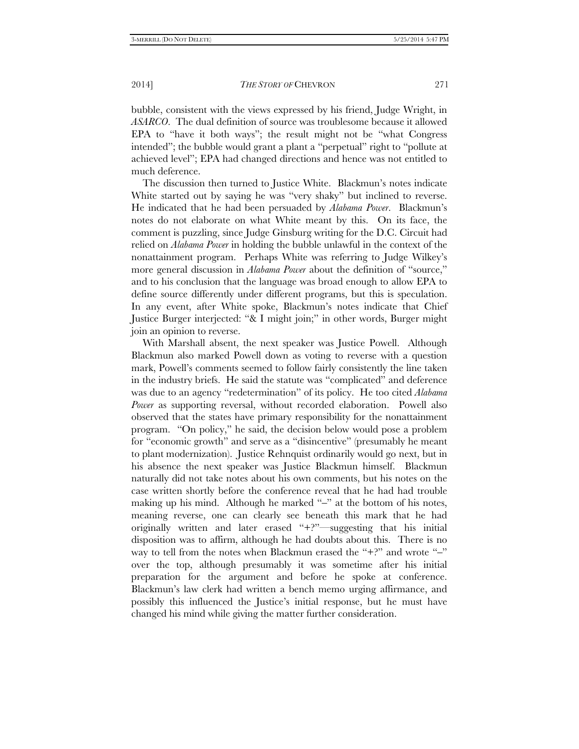bubble, consistent with the views expressed by his friend, Judge Wright, in *ASARCO*. The dual definition of source was troublesome because it allowed EPA to "have it both ways"; the result might not be "what Congress intended"; the bubble would grant a plant a "perpetual" right to "pollute at achieved level"; EPA had changed directions and hence was not entitled to much deference.

The discussion then turned to Justice White. Blackmun's notes indicate White started out by saying he was "very shaky" but inclined to reverse. He indicated that he had been persuaded by *Alabama Power*. Blackmun's notes do not elaborate on what White meant by this. On its face, the comment is puzzling, since Judge Ginsburg writing for the D.C. Circuit had relied on *Alabama Power* in holding the bubble unlawful in the context of the nonattainment program. Perhaps White was referring to Judge Wilkey's more general discussion in *Alabama Power* about the definition of "source," and to his conclusion that the language was broad enough to allow EPA to define source differently under different programs, but this is speculation. In any event, after White spoke, Blackmun's notes indicate that Chief Justice Burger interjected: "& I might join;" in other words, Burger might join an opinion to reverse.

With Marshall absent, the next speaker was Justice Powell. Although Blackmun also marked Powell down as voting to reverse with a question mark, Powell's comments seemed to follow fairly consistently the line taken in the industry briefs. He said the statute was "complicated" and deference was due to an agency "redetermination" of its policy. He too cited *Alabama Power* as supporting reversal, without recorded elaboration. Powell also observed that the states have primary responsibility for the nonattainment program. "On policy," he said, the decision below would pose a problem for "economic growth" and serve as a "disincentive" (presumably he meant to plant modernization). Justice Rehnquist ordinarily would go next, but in his absence the next speaker was Justice Blackmun himself. Blackmun naturally did not take notes about his own comments, but his notes on the case written shortly before the conference reveal that he had had trouble making up his mind. Although he marked "–" at the bottom of his notes, meaning reverse, one can clearly see beneath this mark that he had originally written and later erased "+?"—suggesting that his initial disposition was to affirm, although he had doubts about this. There is no way to tell from the notes when Blackmun erased the "+?" and wrote "-" over the top, although presumably it was sometime after his initial preparation for the argument and before he spoke at conference. Blackmun's law clerk had written a bench memo urging affirmance, and possibly this influenced the Justice's initial response, but he must have changed his mind while giving the matter further consideration.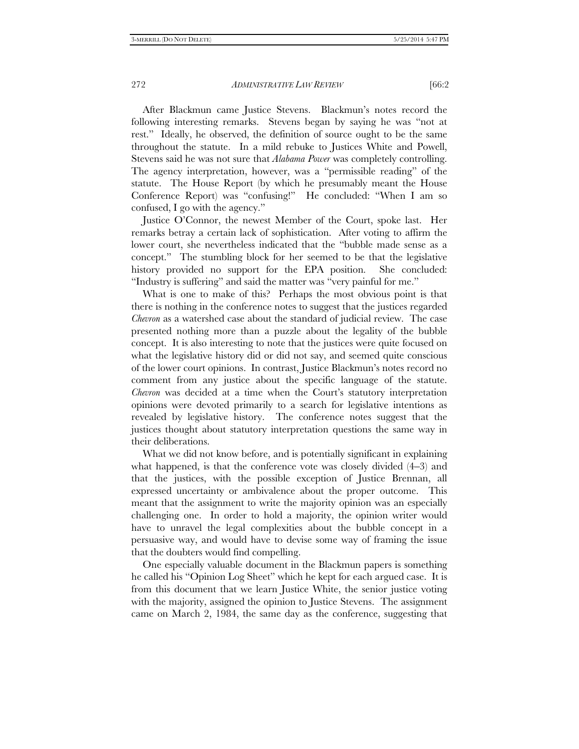After Blackmun came Justice Stevens. Blackmun's notes record the following interesting remarks. Stevens began by saying he was "not at rest." Ideally, he observed, the definition of source ought to be the same throughout the statute. In a mild rebuke to Justices White and Powell, Stevens said he was not sure that *Alabama Power* was completely controlling. The agency interpretation, however, was a "permissible reading" of the statute. The House Report (by which he presumably meant the House Conference Report) was "confusing!" He concluded: "When I am so confused, I go with the agency."

Justice O'Connor, the newest Member of the Court, spoke last. Her remarks betray a certain lack of sophistication. After voting to affirm the lower court, she nevertheless indicated that the "bubble made sense as a concept." The stumbling block for her seemed to be that the legislative history provided no support for the EPA position. She concluded: "Industry is suffering" and said the matter was "very painful for me."

What is one to make of this? Perhaps the most obvious point is that there is nothing in the conference notes to suggest that the justices regarded *Chevron* as a watershed case about the standard of judicial review. The case presented nothing more than a puzzle about the legality of the bubble concept. It is also interesting to note that the justices were quite focused on what the legislative history did or did not say, and seemed quite conscious of the lower court opinions. In contrast, Justice Blackmun's notes record no comment from any justice about the specific language of the statute. *Chevron* was decided at a time when the Court's statutory interpretation opinions were devoted primarily to a search for legislative intentions as revealed by legislative history. The conference notes suggest that the justices thought about statutory interpretation questions the same way in their deliberations.

What we did not know before, and is potentially significant in explaining what happened, is that the conference vote was closely divided (4–3) and that the justices, with the possible exception of Justice Brennan, all expressed uncertainty or ambivalence about the proper outcome. This meant that the assignment to write the majority opinion was an especially challenging one. In order to hold a majority, the opinion writer would have to unravel the legal complexities about the bubble concept in a persuasive way, and would have to devise some way of framing the issue that the doubters would find compelling.

One especially valuable document in the Blackmun papers is something he called his "Opinion Log Sheet" which he kept for each argued case. It is from this document that we learn Justice White, the senior justice voting with the majority, assigned the opinion to Justice Stevens. The assignment came on March 2, 1984, the same day as the conference, suggesting that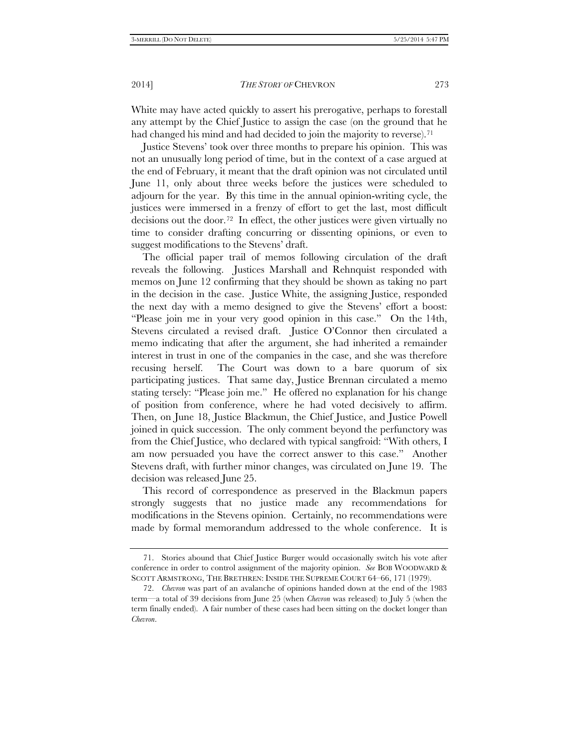White may have acted quickly to assert his prerogative, perhaps to forestall any attempt by the Chief Justice to assign the case (on the ground that he had changed his mind and had decided to join the majority to reverse).<sup>71</sup>

Justice Stevens' took over three months to prepare his opinion. This was not an unusually long period of time, but in the context of a case argued at the end of February, it meant that the draft opinion was not circulated until June 11, only about three weeks before the justices were scheduled to adjourn for the year. By this time in the annual opinion-writing cycle, the justices were immersed in a frenzy of effort to get the last, most difficult decisions out the door.[72](#page-20-1) In effect, the other justices were given virtually no time to consider drafting concurring or dissenting opinions, or even to suggest modifications to the Stevens' draft.

The official paper trail of memos following circulation of the draft reveals the following. Justices Marshall and Rehnquist responded with memos on June 12 confirming that they should be shown as taking no part in the decision in the case. Justice White, the assigning Justice, responded the next day with a memo designed to give the Stevens' effort a boost: "Please join me in your very good opinion in this case." On the 14th, Stevens circulated a revised draft. Justice O'Connor then circulated a memo indicating that after the argument, she had inherited a remainder interest in trust in one of the companies in the case, and she was therefore recusing herself. The Court was down to a bare quorum of six participating justices. That same day, Justice Brennan circulated a memo stating tersely: "Please join me." He offered no explanation for his change of position from conference, where he had voted decisively to affirm. Then, on June 18, Justice Blackmun, the Chief Justice, and Justice Powell joined in quick succession. The only comment beyond the perfunctory was from the Chief Justice, who declared with typical sangfroid: "With others, I am now persuaded you have the correct answer to this case." Another Stevens draft, with further minor changes, was circulated on June 19. The decision was released June 25.

This record of correspondence as preserved in the Blackmun papers strongly suggests that no justice made any recommendations for modifications in the Stevens opinion. Certainly, no recommendations were made by formal memorandum addressed to the whole conference. It is

<span id="page-20-0"></span><sup>71.</sup> Stories abound that Chief Justice Burger would occasionally switch his vote after conference in order to control assignment of the majority opinion. *See* BOB WOODWARD & SCOTT ARMSTRONG, THE BRETHREN: INSIDE THE SUPREME COURT 64–66, 171 (1979).

<span id="page-20-1"></span><sup>72.</sup> *Chevron* was part of an avalanche of opinions handed down at the end of the 1983 term—a total of 39 decisions from June 25 (when *Chevron* was released) to July 5 (when the term finally ended). A fair number of these cases had been sitting on the docket longer than *Chevron*.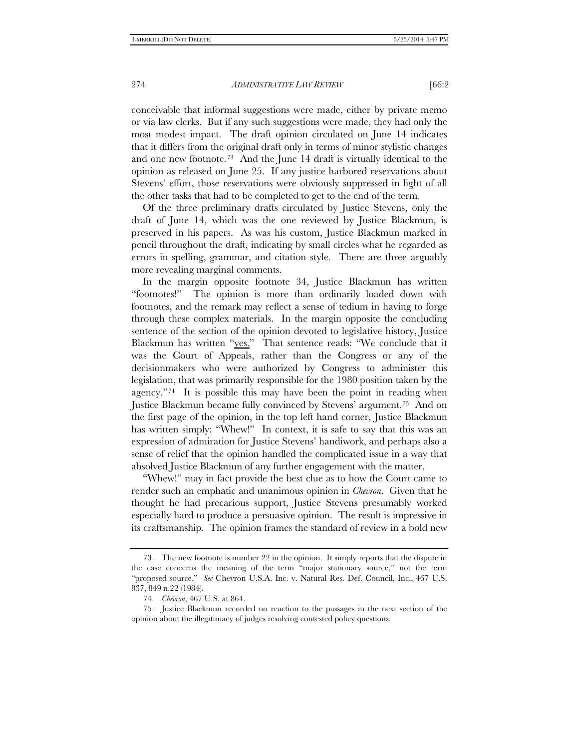conceivable that informal suggestions were made, either by private memo or via law clerks. But if any such suggestions were made, they had only the most modest impact. The draft opinion circulated on June 14 indicates that it differs from the original draft only in terms of minor stylistic changes and one new footnote.[73](#page-21-0) And the June 14 draft is virtually identical to the opinion as released on June 25. If any justice harbored reservations about Stevens' effort, those reservations were obviously suppressed in light of all the other tasks that had to be completed to get to the end of the term.

Of the three preliminary drafts circulated by Justice Stevens, only the draft of June 14, which was the one reviewed by Justice Blackmun, is preserved in his papers. As was his custom, Justice Blackmun marked in pencil throughout the draft, indicating by small circles what he regarded as errors in spelling, grammar, and citation style. There are three arguably more revealing marginal comments.

In the margin opposite footnote 34, Justice Blackmun has written "footnotes!" The opinion is more than ordinarily loaded down with footnotes, and the remark may reflect a sense of tedium in having to forge through these complex materials. In the margin opposite the concluding sentence of the section of the opinion devoted to legislative history, Justice Blackmun has written "yes." That sentence reads: "We conclude that it was the Court of Appeals, rather than the Congress or any of the decisionmakers who were authorized by Congress to administer this legislation, that was primarily responsible for the 1980 position taken by the agency."[74](#page-21-1) It is possible this may have been the point in reading when Justice Blackmun became fully convinced by Stevens' argument.[75](#page-21-2) And on the first page of the opinion, in the top left hand corner, Justice Blackmun has written simply: "Whew!" In context, it is safe to say that this was an expression of admiration for Justice Stevens' handiwork, and perhaps also a sense of relief that the opinion handled the complicated issue in a way that absolved Justice Blackmun of any further engagement with the matter.

"Whew!" may in fact provide the best clue as to how the Court came to render such an emphatic and unanimous opinion in *Chevron*. Given that he thought he had precarious support, Justice Stevens presumably worked especially hard to produce a persuasive opinion. The result is impressive in its craftsmanship. The opinion frames the standard of review in a bold new

<span id="page-21-0"></span><sup>73.</sup> The new footnote is number 22 in the opinion. It simply reports that the dispute in the case concerns the meaning of the term "major stationary source," not the term "proposed source." *See* Chevron U.S.A. Inc. v. Natural Res. Def. Council, Inc., 467 U.S. 837, 849 n.22 (1984).

<sup>74.</sup> *Chevron*, 467 U.S. at 864.

<span id="page-21-2"></span><span id="page-21-1"></span><sup>75.</sup> Justice Blackmun recorded no reaction to the passages in the next section of the opinion about the illegitimacy of judges resolving contested policy questions.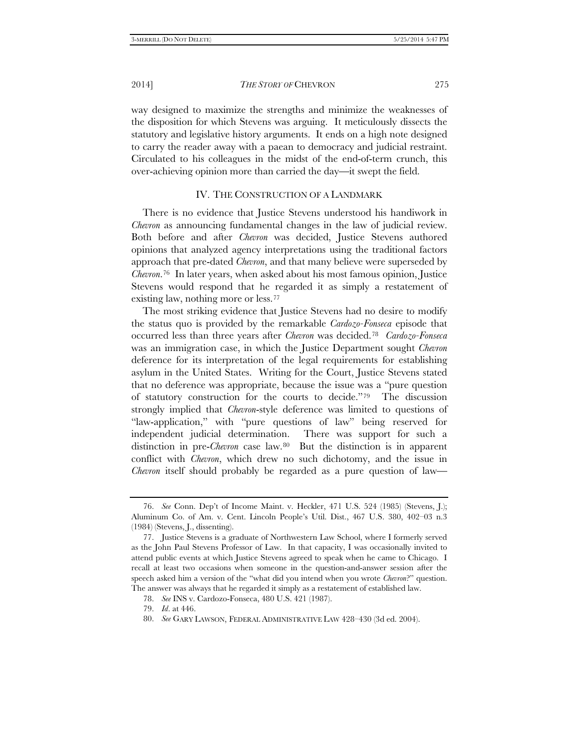way designed to maximize the strengths and minimize the weaknesses of the disposition for which Stevens was arguing. It meticulously dissects the statutory and legislative history arguments. It ends on a high note designed to carry the reader away with a paean to democracy and judicial restraint. Circulated to his colleagues in the midst of the end-of-term crunch, this over-achieving opinion more than carried the day—it swept the field.

#### IV. THE CONSTRUCTION OF A LANDMARK

There is no evidence that Justice Stevens understood his handiwork in *Chevron* as announcing fundamental changes in the law of judicial review. Both before and after *Chevron* was decided, Justice Stevens authored opinions that analyzed agency interpretations using the traditional factors approach that pre-dated *Chevron*, and that many believe were superseded by *Chevron*.[76](#page-22-0) In later years, when asked about his most famous opinion, Justice Stevens would respond that he regarded it as simply a restatement of existing law, nothing more or less.[77](#page-22-1)

The most striking evidence that Justice Stevens had no desire to modify the status quo is provided by the remarkable *Cardozo-Fonseca* episode that occurred less than three years after *Chevron* was decided.[78](#page-22-2) *Cardozo-Fonseca* was an immigration case, in which the Justice Department sought *Chevron* deference for its interpretation of the legal requirements for establishing asylum in the United States. Writing for the Court, Justice Stevens stated that no deference was appropriate, because the issue was a "pure question of statutory construction for the courts to decide."[79](#page-22-3) The discussion strongly implied that *Chevron*-style deference was limited to questions of "law-application," with "pure questions of law" being reserved for independent judicial determination. There was support for such a distinction in pre-*Chevron* case law.[80](#page-22-4) But the distinction is in apparent conflict with *Chevron*, which drew no such dichotomy, and the issue in *Chevron* itself should probably be regarded as a pure question of law—

<span id="page-22-0"></span><sup>76.</sup> *See* Conn. Dep't of Income Maint. v. Heckler, 471 U.S. 524 (1985) (Stevens, J.); Aluminum Co. of Am. v. Cent. Lincoln People's Util. Dist., 467 U.S. 380, 402–03 n.3 (1984) (Stevens, J., dissenting).

<span id="page-22-1"></span><sup>77.</sup> Justice Stevens is a graduate of Northwestern Law School, where I formerly served as the John Paul Stevens Professor of Law. In that capacity, I was occasionally invited to attend public events at which Justice Stevens agreed to speak when he came to Chicago. I recall at least two occasions when someone in the question-and-answer session after the speech asked him a version of the "what did you intend when you wrote *Chevron*?" question. The answer was always that he regarded it simply as a restatement of established law.

<span id="page-22-2"></span><sup>78.</sup> *See* INS v. Cardozo-Fonseca, 480 U.S. 421 (1987).

<sup>79.</sup> *Id*. at 446.

<span id="page-22-4"></span><span id="page-22-3"></span><sup>80.</sup> *See* GARY LAWSON, FEDERAL ADMINISTRATIVE LAW 428–430 (3d ed. 2004).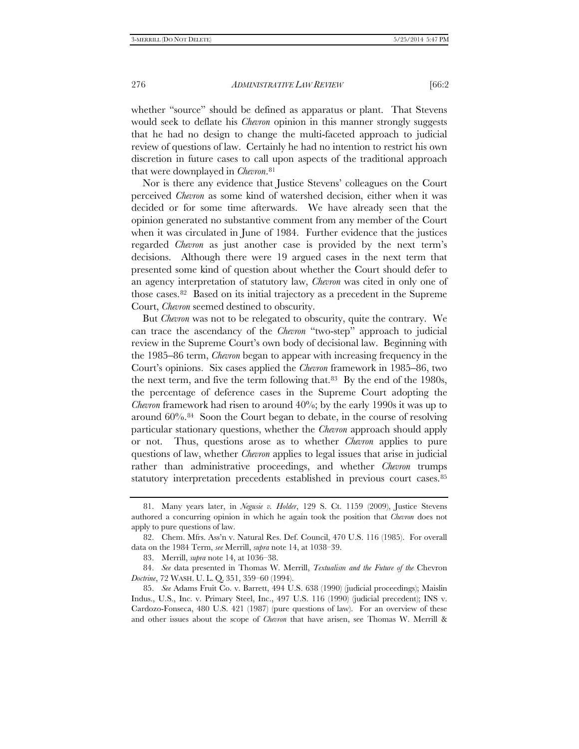whether "source" should be defined as apparatus or plant. That Stevens would seek to deflate his *Chevron* opinion in this manner strongly suggests that he had no design to change the multi-faceted approach to judicial review of questions of law. Certainly he had no intention to restrict his own discretion in future cases to call upon aspects of the traditional approach that were downplayed in *Chevron*.[81](#page-23-0)

Nor is there any evidence that Justice Stevens' colleagues on the Court perceived *Chevron* as some kind of watershed decision, either when it was decided or for some time afterwards. We have already seen that the opinion generated no substantive comment from any member of the Court when it was circulated in June of 1984. Further evidence that the justices regarded *Chevron* as just another case is provided by the next term's decisions. Although there were 19 argued cases in the next term that presented some kind of question about whether the Court should defer to an agency interpretation of statutory law, *Chevron* was cited in only one of those cases.[82](#page-23-1) Based on its initial trajectory as a precedent in the Supreme Court, *Chevron* seemed destined to obscurity.

But *Chevron* was not to be relegated to obscurity, quite the contrary. We can trace the ascendancy of the *Chevron* "two-step" approach to judicial review in the Supreme Court's own body of decisional law. Beginning with the 1985–86 term, *Chevron* began to appear with increasing frequency in the Court's opinions. Six cases applied the *Chevron* framework in 1985–86, two the next term, and five the term following that.[83](#page-23-2) By the end of the 1980s, the percentage of deference cases in the Supreme Court adopting the *Chevron* framework had risen to around 40%; by the early 1990s it was up to around 60%.[84](#page-23-3) Soon the Court began to debate, in the course of resolving particular stationary questions, whether the *Chevron* approach should apply or not. Thus, questions arose as to whether *Chevron* applies to pure questions of law, whether *Chevron* applies to legal issues that arise in judicial rather than administrative proceedings, and whether *Chevron* trumps statutory interpretation precedents established in previous court cases.[85](#page-23-4) 

<span id="page-23-3"></span><span id="page-23-2"></span>84. *See* data presented in Thomas W. Merrill, *Textualism and the Future of the* Chevron *Doctrine*, 72 WASH. U. L. Q. 351, 359–60 (1994).

<span id="page-23-4"></span>85. *See* Adams Fruit Co. v. Barrett, 494 U.S. 638 (1990) (judicial proceedings); Maislin Indus., U.S., Inc. v. Primary Steel, Inc., 497 U.S. 116 (1990) (judicial precedent); INS v. Cardozo-Fonseca, 480 U.S. 421 (1987) (pure questions of law). For an overview of these and other issues about the scope of *Chevron* that have arisen, see Thomas W. Merrill &

<span id="page-23-0"></span><sup>81.</sup> Many years later, in *Negusie v. Holder*, 129 S. Ct. 1159 (2009), Justice Stevens authored a concurring opinion in which he again took the position that *Chevron* does not apply to pure questions of law.

<span id="page-23-1"></span><sup>82.</sup> Chem. Mfrs. Ass'n v. Natural Res. Def. Council, 470 U.S. 116 (1985). For overall data on the 1984 Term, *see* Merrill, *supra* note 14, at 1038–39.

<sup>83.</sup> Merrill, *supra* note 14, at 1036–38.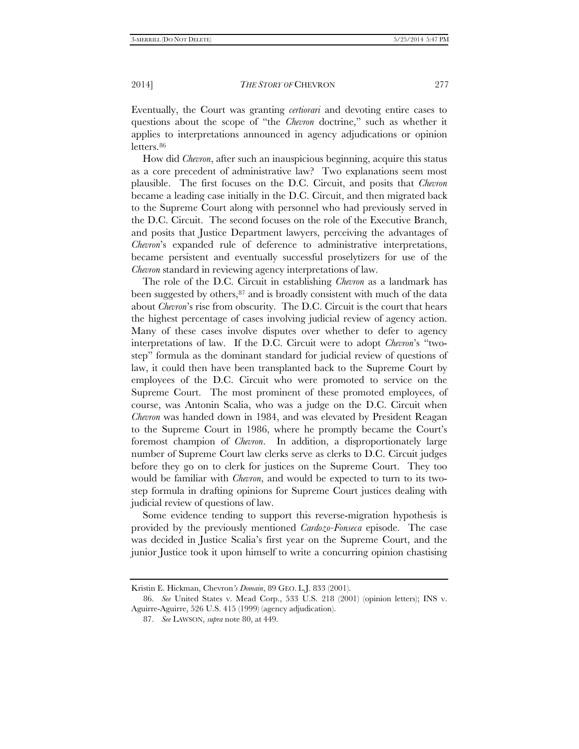Eventually, the Court was granting *certiorari* and devoting entire cases to questions about the scope of "the *Chevron* doctrine," such as whether it applies to interpretations announced in agency adjudications or opinion letters.[86](#page-24-0)

How did *Chevron*, after such an inauspicious beginning, acquire this status as a core precedent of administrative law? Two explanations seem most plausible. The first focuses on the D.C. Circuit, and posits that *Chevron* became a leading case initially in the D.C. Circuit, and then migrated back to the Supreme Court along with personnel who had previously served in the D.C. Circuit. The second focuses on the role of the Executive Branch, and posits that Justice Department lawyers, perceiving the advantages of *Chevron*'s expanded rule of deference to administrative interpretations, became persistent and eventually successful proselytizers for use of the *Chevron* standard in reviewing agency interpretations of law.

The role of the D.C. Circuit in establishing *Chevron* as a landmark has been suggested by others, 87 and is broadly consistent with much of the data about *Chevron*'s rise from obscurity. The D.C. Circuit is the court that hears the highest percentage of cases involving judicial review of agency action. Many of these cases involve disputes over whether to defer to agency interpretations of law. If the D.C. Circuit were to adopt *Chevron*'s "twostep" formula as the dominant standard for judicial review of questions of law, it could then have been transplanted back to the Supreme Court by employees of the D.C. Circuit who were promoted to service on the Supreme Court. The most prominent of these promoted employees, of course, was Antonin Scalia, who was a judge on the D.C. Circuit when *Chevron* was handed down in 1984, and was elevated by President Reagan to the Supreme Court in 1986, where he promptly became the Court's foremost champion of *Chevron*. In addition, a disproportionately large number of Supreme Court law clerks serve as clerks to D.C. Circuit judges before they go on to clerk for justices on the Supreme Court. They too would be familiar with *Chevron*, and would be expected to turn to its twostep formula in drafting opinions for Supreme Court justices dealing with judicial review of questions of law.

Some evidence tending to support this reverse-migration hypothesis is provided by the previously mentioned *Cardozo-Fonseca* episode. The case was decided in Justice Scalia's first year on the Supreme Court, and the junior Justice took it upon himself to write a concurring opinion chastising

Kristin E. Hickman, Chevron*'s Domain*, 89 GEO. L.J. 833 (2001).

<span id="page-24-1"></span><span id="page-24-0"></span><sup>86.</sup> *See* United States v. Mead Corp., 533 U.S. 218 (2001) (opinion letters); INS v. Aguirre-Aguirre, 526 U.S. 415 (1999) (agency adjudication).

<sup>87.</sup> *See* LAWSON, *supra* note 80, at 449.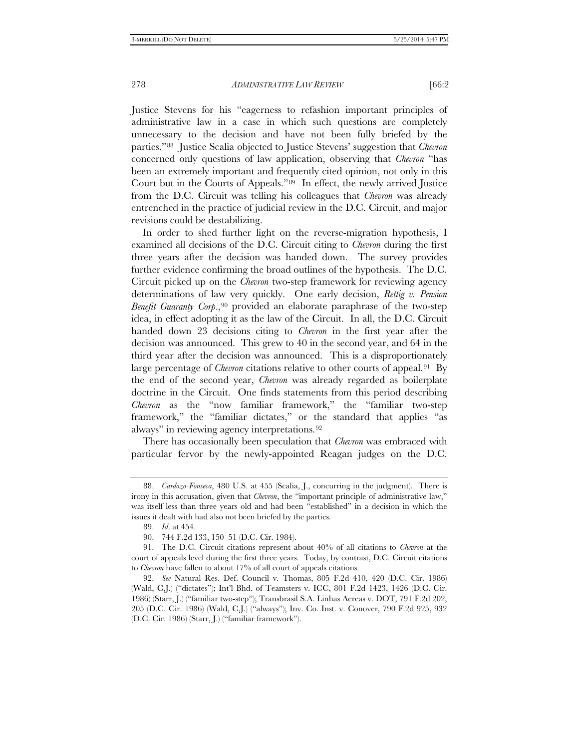Justice Stevens for his "eagerness to refashion important principles of administrative law in a case in which such questions are completely unnecessary to the decision and have not been fully briefed by the parties."[88](#page-25-0) Justice Scalia objected to Justice Stevens' suggestion that *Chevron* concerned only questions of law application, observing that *Chevron* "has been an extremely important and frequently cited opinion, not only in this Court but in the Courts of Appeals."[89](#page-25-1) In effect, the newly arrived Justice from the D.C. Circuit was telling his colleagues that *Chevron* was already entrenched in the practice of judicial review in the D.C. Circuit, and major revisions could be destabilizing.

In order to shed further light on the reverse-migration hypothesis, I examined all decisions of the D.C. Circuit citing to *Chevron* during the first three years after the decision was handed down. The survey provides further evidence confirming the broad outlines of the hypothesis. The D.C. Circuit picked up on the *Chevron* two-step framework for reviewing agency determinations of law very quickly. One early decision, *Rettig v. Pension Benefit Guaranty Corp.*,<sup>[90](#page-25-2)</sup> provided an elaborate paraphrase of the two-step idea, in effect adopting it as the law of the Circuit. In all, the D.C. Circuit handed down 23 decisions citing to *Chevron* in the first year after the decision was announced. This grew to 40 in the second year, and 64 in the third year after the decision was announced. This is a disproportionately large percentage of *Chevron* citations relative to other courts of appeal.<sup>[91](#page-25-3)</sup> By the end of the second year, *Chevron* was already regarded as boilerplate doctrine in the Circuit. One finds statements from this period describing *Chevron* as the "now familiar framework," the "familiar two-step framework," the "familiar dictates," or the standard that applies "as always" in reviewing agency interpretations.[92](#page-25-4)

There has occasionally been speculation that *Chevron* was embraced with particular fervor by the newly-appointed Reagan judges on the D.C.

<span id="page-25-0"></span><sup>88.</sup> *Cardozo-Fonseca*, 480 U.S. at 455 (Scalia, J., concurring in the judgment). There is irony in this accusation, given that *Chevron*, the "important principle of administrative law," was itself less than three years old and had been "established" in a decision in which the issues it dealt with had also not been briefed by the parties.

<sup>89.</sup> *Id*. at 454.

<sup>90.</sup> 744 F.2d 133, 150–51 (D.C. Cir. 1984).

<span id="page-25-3"></span><span id="page-25-2"></span><span id="page-25-1"></span><sup>91.</sup> The D.C. Circuit citations represent about 40% of all citations to *Chevron* at the court of appeals level during the first three years. Today, by contrast, D.C. Circuit citations to *Chevron* have fallen to about 17% of all court of appeals citations.

<span id="page-25-4"></span><sup>92.</sup> *See* Natural Res. Def. Council v. Thomas, 805 F.2d 410, 420 (D.C. Cir. 1986) (Wald, C.J.) ("dictates"); Int'l Bhd. of Teamsters v. ICC, 801 F.2d 1423, 1426 (D.C. Cir. 1986) (Starr, J.) ("familiar two-step"); Transbrasil S.A. Linhas Aereas v. DOT, 791 F.2d 202, 205 (D.C. Cir. 1986) (Wald, C.J.) ("always"); Inv. Co. Inst. v. Conover, 790 F.2d 925, 932 (D.C. Cir. 1986) (Starr, J.) ("familiar framework").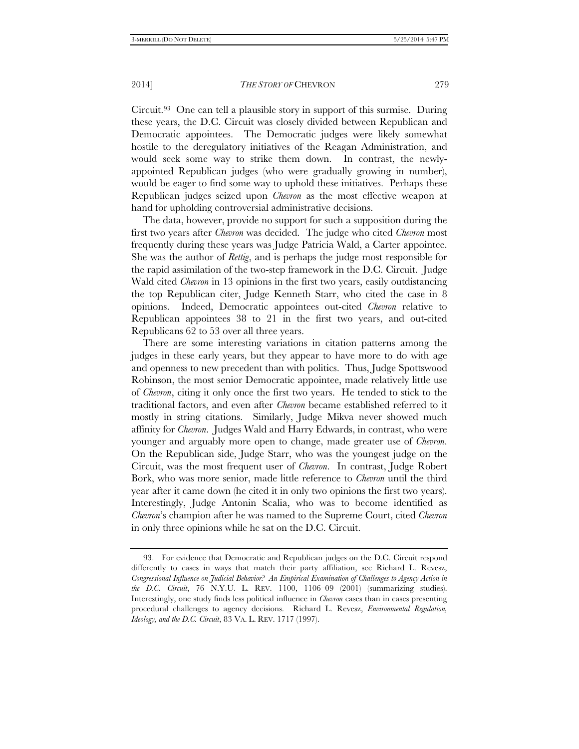Circuit.[93](#page-26-0) One can tell a plausible story in support of this surmise. During these years, the D.C. Circuit was closely divided between Republican and Democratic appointees. The Democratic judges were likely somewhat hostile to the deregulatory initiatives of the Reagan Administration, and would seek some way to strike them down. In contrast, the newlyappointed Republican judges (who were gradually growing in number), would be eager to find some way to uphold these initiatives. Perhaps these Republican judges seized upon *Chevron* as the most effective weapon at hand for upholding controversial administrative decisions.

The data, however, provide no support for such a supposition during the first two years after *Chevron* was decided. The judge who cited *Chevron* most frequently during these years was Judge Patricia Wald, a Carter appointee. She was the author of *Rettig*, and is perhaps the judge most responsible for the rapid assimilation of the two-step framework in the D.C. Circuit. Judge Wald cited *Chevron* in 13 opinions in the first two years, easily outdistancing the top Republican citer, Judge Kenneth Starr, who cited the case in 8 opinions. Indeed, Democratic appointees out-cited *Chevron* relative to Republican appointees 38 to 21 in the first two years, and out-cited Republicans 62 to 53 over all three years.

There are some interesting variations in citation patterns among the judges in these early years, but they appear to have more to do with age and openness to new precedent than with politics. Thus, Judge Spottswood Robinson, the most senior Democratic appointee, made relatively little use of *Chevron*, citing it only once the first two years. He tended to stick to the traditional factors, and even after *Chevron* became established referred to it mostly in string citations. Similarly, Judge Mikva never showed much affinity for *Chevron*. Judges Wald and Harry Edwards, in contrast, who were younger and arguably more open to change, made greater use of *Chevron*. On the Republican side, Judge Starr, who was the youngest judge on the Circuit, was the most frequent user of *Chevron*. In contrast, Judge Robert Bork, who was more senior, made little reference to *Chevron* until the third year after it came down (he cited it in only two opinions the first two years). Interestingly, Judge Antonin Scalia, who was to become identified as *Chevron*'s champion after he was named to the Supreme Court, cited *Chevron* in only three opinions while he sat on the D.C. Circuit.

<span id="page-26-0"></span><sup>93.</sup> For evidence that Democratic and Republican judges on the D.C. Circuit respond differently to cases in ways that match their party affiliation, see Richard L. Revesz, *Congressional Influence on Judicial Behavior? An Empirical Examination of Challenges to Agency Action in the D.C. Circuit*, 76 N.Y.U. L. REV. 1100, 1106–09 (2001) (summarizing studies). Interestingly, one study finds less political influence in *Chevron* cases than in cases presenting procedural challenges to agency decisions. Richard L. Revesz, *Environmental Regulation, Ideology, and the D.C. Circuit*, 83 VA. L. REV. 1717 (1997).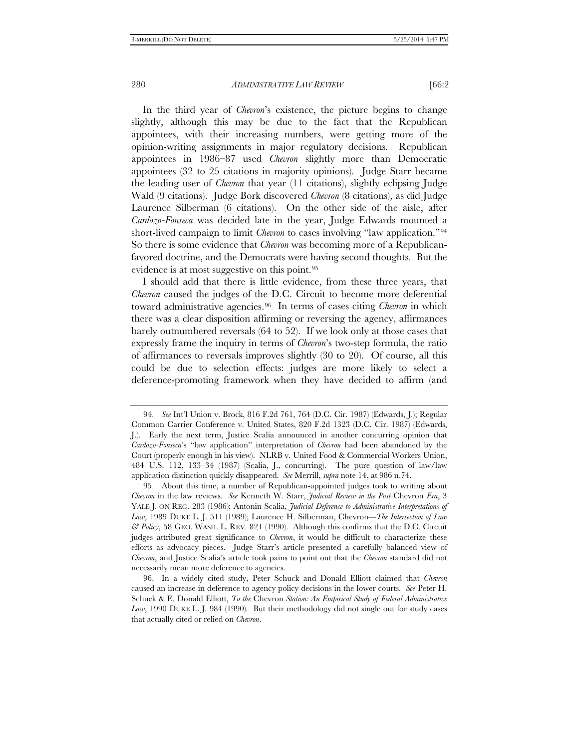In the third year of *Chevron*'s existence, the picture begins to change slightly, although this may be due to the fact that the Republican appointees, with their increasing numbers, were getting more of the opinion-writing assignments in major regulatory decisions. Republican appointees in 1986–87 used *Chevron* slightly more than Democratic appointees (32 to 25 citations in majority opinions). Judge Starr became the leading user of *Chevron* that year (11 citations), slightly eclipsing Judge Wald (9 citations). Judge Bork discovered *Chevron* (8 citations), as did Judge Laurence Silberman (6 citations). On the other side of the aisle, after *Cardozo-Fonseca* was decided late in the year, Judge Edwards mounted a short-lived campaign to limit *Chevron* to cases involving "law application."[94](#page-27-0)  So there is some evidence that *Chevron* was becoming more of a Republicanfavored doctrine, and the Democrats were having second thoughts. But the evidence is at most suggestive on this point.[95](#page-27-1)

I should add that there is little evidence, from these three years, that *Chevron* caused the judges of the D.C. Circuit to become more deferential toward administrative agencies.[96](#page-27-2) In terms of cases citing *Chevron* in which there was a clear disposition affirming or reversing the agency, affirmances barely outnumbered reversals (64 to 52). If we look only at those cases that expressly frame the inquiry in terms of *Chevron*'s two-step formula, the ratio of affirmances to reversals improves slightly (30 to 20). Of course, all this could be due to selection effects: judges are more likely to select a deference-promoting framework when they have decided to affirm (and

<span id="page-27-0"></span><sup>94.</sup> *See* Int'l Union v. Brock, 816 F.2d 761, 764 (D.C. Cir. 1987) (Edwards, J.); Regular Common Carrier Conference v. United States, 820 F.2d 1323 (D.C. Cir. 1987) (Edwards, J.). Early the next term, Justice Scalia announced in another concurring opinion that *Cardozo-Fonseca*'s "law application" interpretation of *Chevron* had been abandoned by the Court (properly enough in his view). NLRB v. United Food & Commercial Workers Union, 484 U.S. 112, 133–34 (1987) (Scalia, J., concurring). The pure question of law/law application distinction quickly disappeared. *See* Merrill, *supra* note 14, at 986 n.74.

<span id="page-27-1"></span><sup>95.</sup> About this time, a number of Republican-appointed judges took to writing about *Chevron* in the law reviews. *See* Kenneth W. Starr, *Judicial Review in the Post-*Chevron *Era*, 3 YALE J. ON REG. 283 (1986); Antonin Scalia, *Judicial Deference to Administrative Interpretations of Law*, 1989 DUKE L. J. 511 (1989); Laurence H. Silberman, Chevron*—The Intersection of Law & Policy*, 58 GEO. WASH. L. REV. 821 (1990). Although this confirms that the D.C. Circuit judges attributed great significance to *Chevron*, it would be difficult to characterize these efforts as advocacy pieces. Judge Starr's article presented a carefully balanced view of *Chevron*, and Justice Scalia's article took pains to point out that the *Chevron* standard did not necessarily mean more deference to agencies.

<span id="page-27-2"></span><sup>96.</sup> In a widely cited study, Peter Schuck and Donald Elliott claimed that *Chevron* caused an increase in deference to agency policy decisions in the lower courts. *See* Peter H. Schuck & E. Donald Elliott, *To the* Chevron *Station: An Empirical Study of Federal Administrative Law*, 1990 DUKE L. J. 984 (1990). But their methodology did not single out for study cases that actually cited or relied on *Chevron*.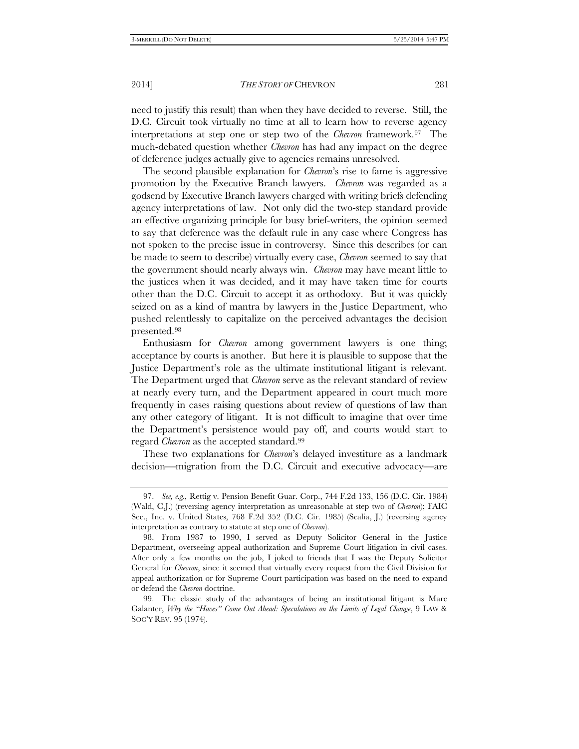need to justify this result) than when they have decided to reverse. Still, the D.C. Circuit took virtually no time at all to learn how to reverse agency interpretations at step one or step two of the *Chevron* framework[.97](#page-28-0) The much-debated question whether *Chevron* has had any impact on the degree of deference judges actually give to agencies remains unresolved.

The second plausible explanation for *Chevron*'s rise to fame is aggressive promotion by the Executive Branch lawyers. *Chevron* was regarded as a godsend by Executive Branch lawyers charged with writing briefs defending agency interpretations of law. Not only did the two-step standard provide an effective organizing principle for busy brief-writers, the opinion seemed to say that deference was the default rule in any case where Congress has not spoken to the precise issue in controversy. Since this describes (or can be made to seem to describe) virtually every case, *Chevron* seemed to say that the government should nearly always win. *Chevron* may have meant little to the justices when it was decided, and it may have taken time for courts other than the D.C. Circuit to accept it as orthodoxy. But it was quickly seized on as a kind of mantra by lawyers in the Justice Department, who pushed relentlessly to capitalize on the perceived advantages the decision presented.[98](#page-28-1)

Enthusiasm for *Chevron* among government lawyers is one thing; acceptance by courts is another. But here it is plausible to suppose that the Justice Department's role as the ultimate institutional litigant is relevant. The Department urged that *Chevron* serve as the relevant standard of review at nearly every turn, and the Department appeared in court much more frequently in cases raising questions about review of questions of law than any other category of litigant. It is not difficult to imagine that over time the Department's persistence would pay off, and courts would start to regard *Chevron* as the accepted standard.[99](#page-28-2)

These two explanations for *Chevron*'s delayed investiture as a landmark decision—migration from the D.C. Circuit and executive advocacy—are

<span id="page-28-0"></span><sup>97.</sup> *See, e.g.,* Rettig v. Pension Benefit Guar. Corp., 744 F.2d 133, 156 (D.C. Cir. 1984) (Wald, C.J.) (reversing agency interpretation as unreasonable at step two of *Chevron*); FAIC Sec., Inc. v. United States, 768 F.2d 352 (D.C. Cir. 1985) (Scalia, J.) (reversing agency interpretation as contrary to statute at step one of *Chevron*).

<span id="page-28-1"></span><sup>98.</sup> From 1987 to 1990, I served as Deputy Solicitor General in the Justice Department, overseeing appeal authorization and Supreme Court litigation in civil cases. After only a few months on the job, I joked to friends that I was the Deputy Solicitor General for *Chevron*, since it seemed that virtually every request from the Civil Division for appeal authorization or for Supreme Court participation was based on the need to expand or defend the *Chevron* doctrine.

<span id="page-28-2"></span><sup>99.</sup> The classic study of the advantages of being an institutional litigant is Marc Galanter, *Why the "Haves" Come Out Ahead: Speculations on the Limits of Legal Change*, 9 LAW & SOC'Y REV. 95 (1974).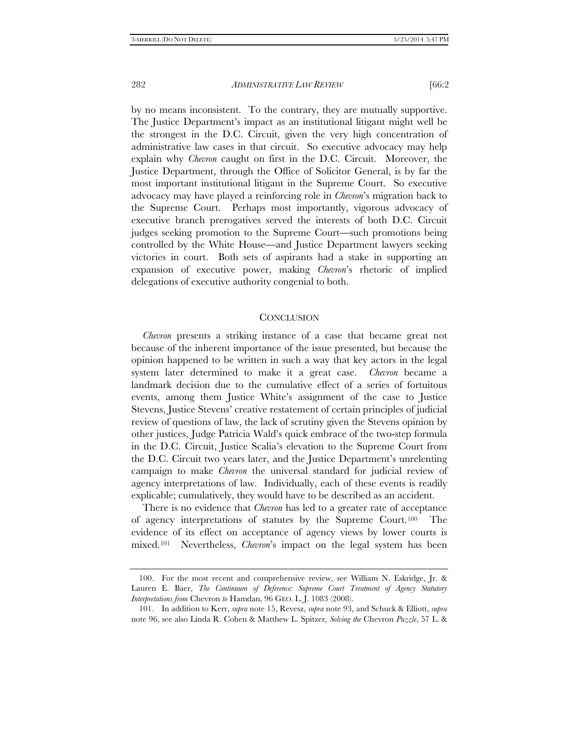by no means inconsistent. To the contrary, they are mutually supportive. The Justice Department's impact as an institutional litigant might well be the strongest in the D.C. Circuit, given the very high concentration of administrative law cases in that circuit. So executive advocacy may help explain why *Chevron* caught on first in the D.C. Circuit. Moreover, the Justice Department, through the Office of Solicitor General, is by far the most important institutional litigant in the Supreme Court. So executive advocacy may have played a reinforcing role in *Chevron*'s migration back to the Supreme Court. Perhaps most importantly, vigorous advocacy of executive branch prerogatives served the interests of both D.C. Circuit judges seeking promotion to the Supreme Court—such promotions being controlled by the White House—and Justice Department lawyers seeking victories in court. Both sets of aspirants had a stake in supporting an expansion of executive power, making *Chevron*'s rhetoric of implied delegations of executive authority congenial to both.

## **CONCLUSION**

*Chevron* presents a striking instance of a case that became great not because of the inherent importance of the issue presented, but because the opinion happened to be written in such a way that key actors in the legal system later determined to make it a great case. *Chevron* became a landmark decision due to the cumulative effect of a series of fortuitous events, among them Justice White's assignment of the case to Justice Stevens, Justice Stevens' creative restatement of certain principles of judicial review of questions of law, the lack of scrutiny given the Stevens opinion by other justices, Judge Patricia Wald's quick embrace of the two-step formula in the D.C. Circuit, Justice Scalia's elevation to the Supreme Court from the D.C. Circuit two years later, and the Justice Department's unrelenting campaign to make *Chevron* the universal standard for judicial review of agency interpretations of law. Individually, each of these events is readily explicable; cumulatively, they would have to be described as an accident.

There is no evidence that *Chevron* has led to a greater rate of acceptance of agency interpretations of statutes by the Supreme Court.[100](#page-29-0) The evidence of its effect on acceptance of agency views by lower courts is mixed.[101](#page-29-1) Nevertheless, *Chevron*'s impact on the legal system has been

<span id="page-29-0"></span><sup>100.</sup> For the most recent and comprehensive review, see William N. Eskridge, Jr. & Lauren E. Baer, *The Continuum of Deference: Supreme Court Treatment of Agency Statutory Interpretations from* Chevron *to* Hamdan, 96 GEO. L. J. 1083 (2008).

<span id="page-29-1"></span><sup>101.</sup> In addition to Kerr, *supra* note 15, Revesz, *supra* note 93, and Schuck & Elliott, *supra* note 96, see also Linda R. Cohen & Matthew L. Spitzer, *Solving the* Chevron *Puzzle*, 57 L. &